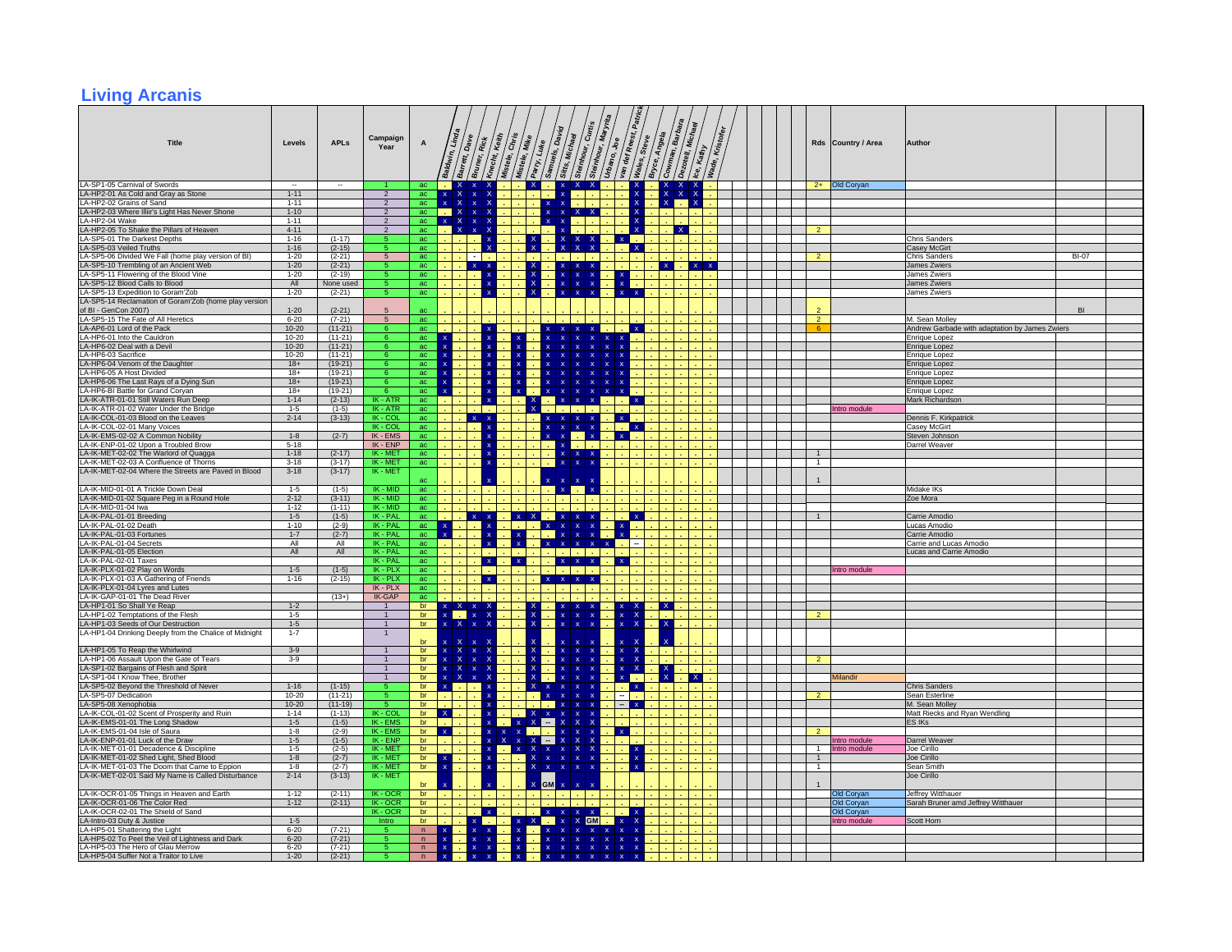#### **Living Arcanis**

| <b>Title</b>                                                                                 | Levels                   | <b>APLs</b>            | Campaign<br>Year                 | $\boldsymbol{\mathsf{A}}$    |                                    | $D_{\rm a}v_{\rm e}$<br>dwin, Line<br>kč\$<br>Barrett       | $\sqrt{\frac{\epsilon_{\text{eff}}}{\epsilon}}$<br>Knecht<br>Mistele, | $\sqrt{\tilde{c}^{k}_{k}}$<br>/wike<br>Mistele, | Parry, Luke                        | Sitts, Michael               | Steinhour, Curtis              | Urbano, Joe<br>'an           | def Reest,<br>Wales,                      | Bryce, Angela<br>Steve | Cowman, Barbara                               | Kristofey<br>Kathy |  |                              | Rds Country / Area | Author                                             |              |  |
|----------------------------------------------------------------------------------------------|--------------------------|------------------------|----------------------------------|------------------------------|------------------------------------|-------------------------------------------------------------|-----------------------------------------------------------------------|-------------------------------------------------|------------------------------------|------------------------------|--------------------------------|------------------------------|-------------------------------------------|------------------------|-----------------------------------------------|--------------------|--|------------------------------|--------------------|----------------------------------------------------|--------------|--|
| LA-SP1-05 Carnival of Swords                                                                 | $\overline{\phantom{a}}$ | ۰.                     |                                  | ac                           |                                    | $X \times$                                                  |                                                                       |                                                 | $\mathbf{X}$                       | $\mathbf{x}$                 | $X$ $X$                        |                              | $\frac{x}{x}$                             |                        | $\begin{array}{c} x & x \\ x & x \end{array}$ |                    |  |                              | 2+ Old Coryan      |                                                    |              |  |
| LA-HP2-01 As Cold and Gray as Stone                                                          | $1 - 11$                 |                        | $\overline{2}$                   | ac                           |                                    | $\overline{\mathsf{x}}$<br>$\boldsymbol{\mathsf{x}}$        |                                                                       |                                                 |                                    |                              |                                |                              |                                           |                        |                                               |                    |  |                              |                    |                                                    |              |  |
| LA-HP2-02 Grains of Sand<br>LA-HP2-03 Where Illiir's Light Has Never Shone                   | $1 - 11$<br>$1 - 10$     |                        | $\overline{2}$<br>$\overline{2}$ | ac<br>ac                     | $\mathbf{x}$                       | $\mathbf{x}$<br>$\mathbf x$<br>$\mathbf{x}$<br>$\mathbf{x}$ |                                                                       |                                                 |                                    |                              |                                |                              | $\boldsymbol{\mathsf{x}}$<br>$\mathbf{x}$ |                        | $\mathbf{x}$                                  |                    |  |                              |                    |                                                    |              |  |
| LA-HP2-04 Wake                                                                               | $1 - 11$                 |                        | $\overline{2}$                   | ac -                         | <b>Card</b>                        | $X$ $X$ $X$                                                 |                                                                       |                                                 |                                    |                              |                                |                              | $\mathbf{x}$                              |                        |                                               |                    |  |                              |                    |                                                    |              |  |
| LA-HP2-05 To Shake the Pillars of Heaven                                                     | $4 - 11$                 |                        |                                  | ac                           |                                    | $\boldsymbol{\mathsf{x}}$                                   | -х                                                                    |                                                 |                                    |                              |                                |                              | $\boldsymbol{\mathsf{x}}$                 |                        |                                               |                    |  |                              |                    |                                                    |              |  |
| LA-SP5-01 The Darkest Depths                                                                 | $1 - 16$                 | $(1-17)$               |                                  | ac                           |                                    |                                                             |                                                                       |                                                 |                                    |                              |                                |                              | $X = 1$                                   |                        |                                               |                    |  |                              |                    | <b>Chris Sanders</b>                               |              |  |
| LA-SP5-03 Veiled Truths                                                                      | $1 - 16$                 | $(2-15)$               |                                  | ac                           |                                    |                                                             |                                                                       |                                                 |                                    |                              |                                |                              | $\mathbf{x}$                              |                        |                                               |                    |  |                              |                    | <b>Casey McGirt</b>                                |              |  |
| LA-SP5-06 Divided We Fall (home play version of BI)<br>LA-SP5-10 Trembling of an Ancient Web | $1 - 20$<br>$1 - 20$     | $(2-21)$<br>$(2-21)$   | 5                                | ac<br>ac                     |                                    | $\sim$<br>$x \times$                                        |                                                                       |                                                 |                                    |                              |                                |                              |                                           |                        | $\mathbf{x}$                                  | $X$ $X$            |  | $\overline{2}$               |                    | Chris Sanders<br>James Zwiers                      | <b>BI-07</b> |  |
| LA-SP5-11 Flowering of the Blood Vine                                                        | $1 - 20$                 | $(2-19)$               |                                  | ac                           |                                    |                                                             |                                                                       |                                                 |                                    | $\mathbf{x}$                 | $\boldsymbol{\mathsf{x}}$      | $\mathbf x$                  |                                           |                        |                                               |                    |  |                              |                    | James Zwiers                                       |              |  |
| LA-SP5-12 Blood Calls to Blood                                                               | All                      | None used              |                                  | ac                           |                                    |                                                             | - x                                                                   |                                                 |                                    | $\mathbf{x}$                 | $\mathbf x$                    |                              | $x \rightarrow x$                         |                        |                                               |                    |  |                              |                    | James Zwiers                                       |              |  |
| LA-SP5-13 Expedition to Goram'Zob                                                            | $1 - 20$                 | $(2-21)$               |                                  | ac                           |                                    |                                                             |                                                                       |                                                 |                                    |                              |                                |                              |                                           |                        |                                               |                    |  |                              |                    | James Zwiers                                       |              |  |
| LA-SP5-14 Reclamation of Goram'Zob (home play version<br>of BI - GenCon 2007)                | $1 - 20$                 | $(2-21)$               |                                  | ac                           |                                    |                                                             |                                                                       |                                                 |                                    |                              |                                |                              |                                           |                        |                                               |                    |  |                              |                    |                                                    | BI           |  |
| LA-SP5-15 The Fate of All Heretics                                                           | $6 - 20$                 | $(7-21)$               | $5\overline{5}$                  | ac                           |                                    |                                                             |                                                                       |                                                 |                                    |                              |                                |                              |                                           |                        |                                               |                    |  | $\overline{2}$               |                    | M. Sean Molley                                     |              |  |
| LA-AP6-01 Lord of the Pack                                                                   | $10 - 20$                | $(11-21)$              |                                  | ac                           |                                    |                                                             |                                                                       |                                                 |                                    |                              |                                |                              | $\mathbf{x}$                              |                        |                                               |                    |  | 6                            |                    | Andrew Garbade with adaptation by James Zwiers     |              |  |
| LA-HP6-01 Into the Cauldron                                                                  | $10 - 20$                | $(11-21)$              | 6                                | ac                           |                                    |                                                             |                                                                       |                                                 | x                                  |                              | $\mathbf{x}$                   |                              |                                           |                        |                                               |                    |  |                              |                    | Enrique Lopez                                      |              |  |
| LA-HP6-02 Deal with a Devil<br>LA-HP6-03 Sacrifice                                           | $10 - 20$<br>10-20       | $(11-21)$<br>$(11-21)$ | -6                               | ac<br>ac                     |                                    |                                                             |                                                                       |                                                 |                                    |                              |                                |                              |                                           |                        |                                               |                    |  |                              |                    | <b>Enrique Lopez</b><br><b>Enrique Lopez</b>       |              |  |
| LA-HP6-04 Venom of the Daughter                                                              | $18+$                    | $(19-21)$              |                                  | ac                           |                                    |                                                             |                                                                       |                                                 |                                    |                              |                                |                              |                                           |                        |                                               |                    |  |                              |                    | Enrique Lopez                                      |              |  |
| LA-HP6-05 A Host Divided                                                                     | $18+$                    | $(19-21)$              |                                  | ac                           |                                    |                                                             |                                                                       |                                                 |                                    |                              | $\mathbf{x}$                   | $\mathbf x$                  |                                           |                        |                                               |                    |  |                              |                    | Enrique Lopez                                      |              |  |
| LA-HP6-06 The Last Rays of a Dying Sun                                                       | $18+$                    | $(19-21)$              | -6                               | $rac{ac}{2}$                 | $\mathbf{x}$                       |                                                             |                                                                       |                                                 |                                    |                              |                                | $\mathbf{x}$                 |                                           |                        |                                               |                    |  |                              |                    | <b>Enrique Lopez</b>                               |              |  |
| LA-HP6-BI Battle for Grand Coryan<br>LA-IK-ATR-01-01 Still Waters Run Deep                   | $18+$<br>$1 - 14$        | $(19-21)$<br>$(2-13)$  | $IK - ATR$                       | ac<br>ac                     |                                    |                                                             |                                                                       |                                                 |                                    | $\overline{\mathbf{x}}$      | $\mathbf x$                    |                              | $\mathbf{x}$                              |                        |                                               |                    |  |                              |                    | Enrique Lopez<br>Mark Richardson                   |              |  |
| LA-IK-ATR-01-02 Water Under the Bridge                                                       | $1 - 5$                  | $(1-5)$                | IK - ATR                         | ac                           |                                    |                                                             |                                                                       |                                                 |                                    |                              |                                |                              |                                           |                        |                                               |                    |  |                              | Intro module       |                                                    |              |  |
| LA-IK-COL-01-03 Blood on the Leaves                                                          | $2 - 14$                 | $(3-13)$               | IK - COL                         | ac                           |                                    | $x \times$                                                  |                                                                       |                                                 |                                    |                              |                                |                              | $X = 1$                                   |                        |                                               |                    |  |                              |                    | Dennis F. Kirkpatrick                              |              |  |
| LA-IK-COL-02-01 Many Voices<br>LA-IK-EMS-02-02 A Common Nobility                             | $1 - 8$                  | $(2-7)$                | IK - COL<br>IK - EMS             | ac<br>ac                     |                                    |                                                             |                                                                       |                                                 |                                    | $\mathbf{x}$                 |                                |                              |                                           |                        |                                               |                    |  |                              |                    | Casey McGirt<br>Steven Johnson                     |              |  |
| LA-IK-ENP-01-02 Upon a Troubled Brow                                                         | $5 - 18$                 |                        | $IK$ - $ENP$                     | ac                           |                                    |                                                             |                                                                       |                                                 |                                    |                              | <b>Section</b>                 | $\mathbf{x}$                 |                                           |                        |                                               |                    |  |                              |                    | Darrel Weaver                                      |              |  |
| LA-IK-MET-02-02 The Warlord of Quagga                                                        | $1 - 18$                 | $(2-17)$               | IK - MET                         | ac                           |                                    |                                                             |                                                                       |                                                 |                                    | ¥                            | $\mathbf{x}$                   |                              |                                           |                        |                                               |                    |  | $\mathbf{1}$                 |                    |                                                    |              |  |
| LA-IK-MET-02-03 A Confluence of Thorns                                                       | $3 - 18$                 | $(3-17)$               | IK - MET<br>IK - MET             | ac                           |                                    |                                                             |                                                                       |                                                 |                                    |                              |                                |                              |                                           |                        |                                               |                    |  | $\mathbf{1}$                 |                    |                                                    |              |  |
| LA-IK-MET-02-04 Where the Streets are Paved in Blood                                         | $3-18$                   | $(3-17)$               |                                  | ac                           |                                    |                                                             |                                                                       |                                                 |                                    |                              |                                |                              |                                           |                        |                                               |                    |  |                              |                    |                                                    |              |  |
| LA-IK-MID-01-01 A Trickle Down Deal                                                          | $1 - 5$                  | $(1-5)$                | $IK - MID$                       | ac                           |                                    |                                                             |                                                                       |                                                 |                                    | x <sub>1</sub>               |                                |                              |                                           |                        |                                               |                    |  |                              |                    | Midake IKs                                         |              |  |
| LA-IK-MID-01-02 Square Peg in a Round Hole                                                   | $2 - 12$                 | $(3-11)$               | IK - MID                         | ac                           |                                    |                                                             |                                                                       |                                                 |                                    |                              |                                |                              |                                           |                        |                                               |                    |  |                              |                    | Zoe Mora                                           |              |  |
| LA-IK-MID-01-04 Iwa<br>LA-IK-PAL-01-01 Breeding                                              | $1 - 12$<br>$1-5$        | $(1-11)$<br>$(1-5)$    | IK - MID<br>IK - PAL             | $\mathop{\mathrm{ac}}$<br>ac |                                    | $x \times$                                                  |                                                                       |                                                 |                                    |                              |                                |                              | $\mathbf{x}$                              |                        |                                               |                    |  |                              |                    | Carrie Amodio                                      |              |  |
| LA-IK-PAL-01-02 Death                                                                        | $1 - 10$                 | $(2-9)$                | IK - PAL                         | ac                           |                                    |                                                             |                                                                       |                                                 |                                    | $\boldsymbol{\mathsf{x}}$    |                                |                              |                                           |                        |                                               |                    |  |                              |                    | Lucas Amodio                                       |              |  |
| LA-IK-PAL-01-03 Fortunes                                                                     | $1 - 7$                  | $(2-7)$                | IK - PAL                         | ac                           |                                    |                                                             |                                                                       |                                                 |                                    |                              |                                |                              |                                           |                        |                                               |                    |  |                              |                    | Carrie Amodio                                      |              |  |
| LA-IK-PAL-01-04 Secrets<br>LA-IK-PAL-01-05 Election                                          | All<br>All               | All<br>All             | IK - PAL<br>IK - PAL             | ac                           |                                    |                                                             |                                                                       |                                                 |                                    |                              |                                |                              |                                           |                        |                                               |                    |  |                              |                    | Carrie and Lucas Amodio<br>Lucas and Carrie Amodio |              |  |
| A-IK-PAL-02-01 Taxes                                                                         |                          |                        | IK - PAL                         | ac<br>ac                     |                                    |                                                             | $\mathbf{x}$                                                          |                                                 |                                    |                              |                                | $\mathbf{x}$                 |                                           |                        |                                               |                    |  |                              |                    |                                                    |              |  |
| LA-IK-PLX-01-02 Play on Words                                                                | $1 - 5$                  | $(1-5)$                | $IK - PLX$                       | ac                           |                                    |                                                             |                                                                       |                                                 |                                    |                              |                                |                              |                                           |                        |                                               |                    |  |                              | Intro module       |                                                    |              |  |
| LA-IK-PLX-01-03 A Gathering of Friends                                                       | $1 - 16$                 | $(2-15)$               | IK - PLX                         | ac                           |                                    |                                                             | $\mathbf{x}$                                                          |                                                 |                                    | $X$ $X$ $X$ $X$              |                                |                              |                                           |                        |                                               |                    |  |                              |                    |                                                    |              |  |
| LA-IK-PLX-01-04 Lyres and Lutes<br>LA-IK-GAP-01-01 The Dead River                            |                          | $(13+)$                | IK - PLX<br>IK-GAP               | ac<br>ac                     |                                    |                                                             |                                                                       |                                                 |                                    |                              |                                |                              |                                           |                        |                                               |                    |  |                              |                    |                                                    |              |  |
| LA-HP1-01 So Shall Ye Reap                                                                   | $1 - 2$                  |                        | $\overline{1}$                   | br                           |                                    | $x$ $X$ $x$                                                 |                                                                       |                                                 |                                    |                              |                                |                              |                                           |                        | $\mathbf{X}$                                  |                    |  |                              |                    |                                                    |              |  |
| LA-HP1-02 Temptations of the Flesh                                                           | $1-5$                    |                        | $\overline{1}$                   | br                           |                                    | $\mathbf{x}$ x x                                            |                                                                       |                                                 | $\mathbf{x}$                       | $\mathbf{x}$                 | $\mathbf{x}$<br>$\mathbf{x}$   |                              | $x \mid X$                                |                        |                                               |                    |  | $\overline{2}$               |                    |                                                    |              |  |
| LA-HP1-03 Seeds of Our Destruction<br>LA-HP1-04 Drinking Deeply from the Chalice of Midnight | $1 - 5$<br>$1 - 7$       |                        | $\overline{1}$<br>$\overline{1}$ | br                           |                                    | $\mathbf{x}$<br>$\boldsymbol{\mathsf{x}}$                   |                                                                       |                                                 |                                    |                              |                                | $\mathbf{x}$                 | $\mathbf{x}$                              |                        |                                               |                    |  |                              |                    |                                                    |              |  |
|                                                                                              |                          |                        |                                  | br                           |                                    | $\mathbf{x}$                                                |                                                                       |                                                 |                                    |                              |                                | $\mathbf{x}$                 |                                           |                        | $\boldsymbol{\mathsf{x}}$                     |                    |  |                              |                    |                                                    |              |  |
| LA-HP1-05 To Reap the Whirlwind                                                              | $3 - 9$                  |                        | $\overline{1}$                   | br                           | $\mathbf x$                        | $\mathbf{x}$<br>$\mathbf{x}$                                | $\mathbf{\mathsf{x}}$                                                 |                                                 | x                                  | $\overline{\mathbf{x}}$      | $\mathbf{x}$                   |                              | $\mathbf{x}$<br>$\mathbf{x}$              |                        |                                               |                    |  |                              |                    |                                                    |              |  |
| LA-HP1-06 Assault Upon the Gate of Tears                                                     | $3 - 9$                  |                        | $\overline{1}$<br>$\overline{1}$ | br                           | $\mathbf{x}$                       | $\boldsymbol{\mathsf{x}}$<br>$\mathbf{x}$                   |                                                                       |                                                 |                                    | $\overline{\mathbf{x}}$      |                                | $\mathbf{x}$                 | $\mathbf{x}$<br>$\mathbf{x}$              |                        |                                               |                    |  |                              |                    |                                                    |              |  |
| LA-SP1-02 Bargains of Flesh and Spirit<br>LA-SP1-04 I Know Thee, Brother                     |                          |                        | $\overline{1}$                   | br<br>br                     | $\mathbf{x}$<br>$\mathbf x$        | ♦<br>$\mathbf{x}$<br>$\mathbf{x}$<br>$\mathbf{x}$           |                                                                       |                                                 |                                    | $\mathbf{x}$                 |                                | $\mathbf{x}$<br>$\mathbf x$  |                                           |                        | $\mathbf{x}$                                  |                    |  |                              | Milandir           |                                                    |              |  |
| LA-SP5-02 Beyond the Threshold of Never                                                      | $1 - 16$                 | $(1-15)$               | -5                               | br                           | $\mathbf x$                        |                                                             |                                                                       |                                                 | x<br>$\mathbf{x}$                  |                              |                                |                              | $\mathbf x$                               |                        |                                               |                    |  |                              |                    | <b>Chris Sanders</b>                               |              |  |
| LA-SP5-07 Dedication                                                                         | $10 - 20$                | $(11-21)$              |                                  | br                           |                                    |                                                             |                                                                       |                                                 |                                    |                              |                                |                              |                                           |                        |                                               |                    |  |                              |                    | Sean Esterline                                     |              |  |
| LA-SP5-08 Xenophobia<br>LA-IK-COL-01-02 Scent of Prosperity and Ruin                         | $10 - 20$<br>$1 - 14$    | $(11-19)$<br>$(1-13)$  | -5<br>IK - COL                   | br<br>br                     | $\mathbf{x}$                       |                                                             |                                                                       |                                                 |                                    |                              |                                |                              | $\mathbf{x}$                              |                        |                                               |                    |  |                              |                    | M. Sean Molley<br>Matt Riecks and Ryan Wendling    |              |  |
| LA-IK-EMS-01-01 The Long Shadow                                                              | $1 - 5$                  | $(1-5)$                | IK - EMS                         | br                           |                                    |                                                             |                                                                       |                                                 |                                    |                              |                                |                              |                                           |                        |                                               |                    |  |                              |                    | ES IKs                                             |              |  |
| LA-IK-EMS-01-04 Isle of Saura                                                                | $1 - 8$                  | $(2-9)$                | IK - EMS                         | br                           | $\mathbf x$                        |                                                             |                                                                       |                                                 |                                    |                              |                                | $\langle \mathbf{x} \rangle$ |                                           |                        |                                               |                    |  |                              |                    |                                                    |              |  |
| LA-IK-ENP-01-01 Luck of the Draw                                                             | $1 - 5$                  | $(1-5)$                | IK - ENP                         | br                           |                                    |                                                             |                                                                       |                                                 |                                    |                              |                                |                              |                                           |                        |                                               |                    |  |                              | itro module        | Darrel Weave                                       |              |  |
| LA-IK-MET-01-01 Decadence & Discipline<br>LA-IK-MET-01-02 Shed Light, Shed Blood             | $1-5$<br>$1 - 8$         | $(2-5)$<br>$(2-7)$     | IK - MET<br>IK-MET               | br<br>br                     | $\mathbf x$                        |                                                             |                                                                       |                                                 | $\mathbf{x}$<br>$\mathbf{x}$       | $\mathbf{x}$                 | x<br>$\boldsymbol{\mathsf{x}}$ |                              | $\mathbf x$                               |                        |                                               |                    |  | $\mathbf{1}$<br>$\mathbf{1}$ | Intro module       | Joe Cirillo<br>Joe Cirillo                         |              |  |
| LA-IK-MET-01-03 The Doom that Came to Eppion                                                 | $1 - 8$                  | $(2-7)$                | IK - MFT                         | br                           | $\mathbf{x}$                       |                                                             |                                                                       |                                                 | X.<br>$\mathbf{x}$                 | $\mathbf{x}$                 |                                |                              |                                           |                        |                                               |                    |  | $\overline{1}$               |                    | Sean Smith                                         |              |  |
| LA-IK-MET-02-01 Said My Name is Called Disturbance                                           | $2 - 14$                 | $(3-13)$               | IK - MET                         |                              |                                    |                                                             |                                                                       |                                                 |                                    |                              |                                |                              |                                           |                        |                                               |                    |  |                              |                    | Joe Cirillo                                        |              |  |
| LA-IK-OCR-01-05 Things in Heaven and Earth                                                   | $1 - 12$                 | $(2-11)$               | IK-OCR                           | br<br>br                     |                                    |                                                             |                                                                       |                                                 | GM                                 |                              |                                |                              |                                           |                        |                                               |                    |  |                              | Old Coryan         | Jeffrey Witthauer                                  |              |  |
| LA-IK-OCR-01-06 The Color Red                                                                | $1 - 12$                 | $(2-11)$               | IK-OCR                           | br                           |                                    |                                                             |                                                                       |                                                 |                                    |                              |                                |                              |                                           |                        |                                               |                    |  |                              | Old Coryan         | Sarah Bruner amd Jeffrey Witthauer                 |              |  |
| LA-IK-OCR-02-01 The Shield of Sand                                                           |                          |                        | $IK - OCR$                       | br                           |                                    |                                                             |                                                                       |                                                 | $\mathbf{x}$                       | $\mathbf{x}$                 | $\mathbf{x}$                   |                              |                                           |                        |                                               |                    |  |                              | Old Coryan         |                                                    |              |  |
| LA-Intro-03 Duty & Justice<br>LA-HP5-01 Shattering the Light                                 | $1 - 5$<br>$6 - 20$      |                        | Intro<br>$\overline{5}$          | br                           |                                    |                                                             |                                                                       |                                                 |                                    | $\mathbf{x}$<br>$\mathbf{x}$ | $\mathbf{x}$<br><b>GM</b>      | $\mathbf{x}$                 | $\mathbf{x}$                              |                        |                                               |                    |  |                              | Intro module       | Scott Horn                                         |              |  |
| LA-HP5-02 To Peel the Veil of Lightness and Dark                                             | $6 - 20$                 | $(7-21)$<br>$(7-21)$   |                                  | n<br>$\mathsf{n}$            | $\pmb{\mathsf{x}}$<br>$\mathbf{x}$ |                                                             |                                                                       |                                                 | $\mathbf{x}$<br>$\pmb{\mathsf{x}}$ |                              | $X = X = X$                    |                              | $\mathbf{x}$<br>$\mathbf x$               |                        |                                               |                    |  |                              |                    |                                                    |              |  |
| LA-HP5-03 The Hero of Glau Merrow                                                            | $6 - 20$                 | $(7-21)$               |                                  | $\mathsf{n}$                 | $\pmb{\mathsf{x}}$                 | $\mathbf{x}$                                                |                                                                       |                                                 | $\mathbf{x}$                       | $\overline{\mathbf{x}}$      | $x - x - x$                    | $\mathbf{x}$                 | $\mathbf{x}$                              |                        |                                               |                    |  |                              |                    |                                                    |              |  |
| LA-HP5-04 Suffer Not a Traitor to Live                                                       | $1 - 20$                 | $(2 - 21)$             |                                  | $\overline{p}$               | $\mathbf x$                        |                                                             |                                                                       |                                                 |                                    |                              |                                |                              | $\mathbf x$                               |                        |                                               |                    |  |                              |                    |                                                    |              |  |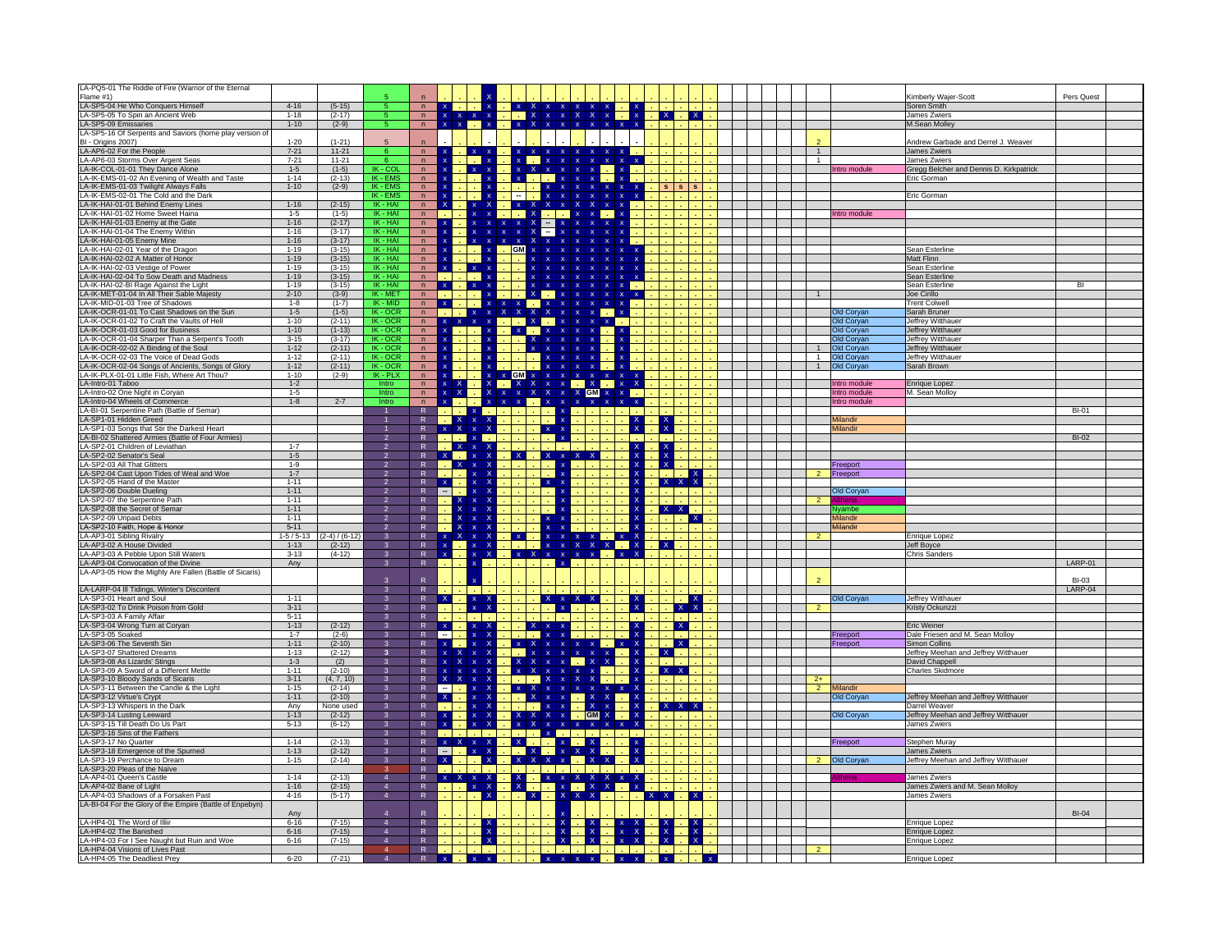| LA-PQ5-01 The Riddle of Fire (Warrior of the Eternal                                    |                        |                        |                             |                                |                                                          |                                          |                                                           |                              |                                                                                    |                                                         |                                     |                |                |                              |                                                      |                 |
|-----------------------------------------------------------------------------------------|------------------------|------------------------|-----------------------------|--------------------------------|----------------------------------------------------------|------------------------------------------|-----------------------------------------------------------|------------------------------|------------------------------------------------------------------------------------|---------------------------------------------------------|-------------------------------------|----------------|----------------|------------------------------|------------------------------------------------------|-----------------|
| Flame #1)<br>LA-SP5-04 He Who Conquers Himself                                          | $4 - 16$               | $(5-15)$               |                             |                                |                                                          |                                          |                                                           |                              |                                                                                    |                                                         |                                     |                |                |                              | Kimberly Wajer-Scott<br>Soren Smith                  | Pers Quest      |
| LA-SP5-05 To Spin an Ancient Web                                                        | $1 - 18$               | $(2-17)$               |                             | n<br>$n -$                     | $\mathbf x$                                              |                                          | $\mathbf{X}$                                              |                              | $\overline{\mathsf{x}}$<br>$\mathbf{x}$                                            |                                                         | x                                   | $\mathbf{X}$   |                |                              | James Zwiers                                         |                 |
| LA-SP5-09 Emissaries                                                                    | $1-10$                 | $(2-9)$                |                             | n                              |                                                          |                                          |                                                           | $\mathbf{x}$                 | $\mathbf{x}$<br>$\mathbf{x}$                                                       | $\mathbf{x}$                                            |                                     |                |                |                              | M.Sean Molley                                        |                 |
| LA-SP5-16 Of Serpents and Saviors (home play version of                                 |                        |                        |                             |                                |                                                          |                                          |                                                           |                              |                                                                                    |                                                         |                                     |                |                |                              |                                                      |                 |
| BI - Origins 2007)                                                                      | $1 - 20$               | $(1 - 21)$             |                             |                                |                                                          |                                          |                                                           |                              |                                                                                    |                                                         |                                     |                |                |                              | Andrew Garbade and Derrel J. Weaver                  |                 |
| LA-AP6-02 For the People<br>LA-AP6-03 Storms Over Argent Seas                           | $7 - 21$<br>$7 - 21$   | $11 - 21$<br>$11 - 21$ |                             | n<br>n                         |                                                          | $\mathbf{x}$ .                           |                                                           |                              |                                                                                    | $\mathbf{x}=\mathbf{x}$<br>$\mathbf{x}$<br>$\mathbf{x}$ |                                     |                | 1              |                              | James Zwiers<br>James Zwiers                         |                 |
| LA-IK-COL-01-01 They Dance Alone                                                        | $1-5$                  | $(1-5)$                | IK - COL                    | n                              | $\mathbf x$                                              |                                          |                                                           |                              |                                                                                    |                                                         |                                     |                |                | Intro module                 | Gregg Belcher and Dennis D. Kirkpatrick              |                 |
| A-IK-EMS-01-02 An Evening of Wealth and Taste                                           | $1 - 14$               | $(2-13)$               | IK - EMS                    | n                              | $\mathbf{x}$                                             |                                          |                                                           |                              |                                                                                    |                                                         |                                     |                |                |                              | Eric Gorman                                          |                 |
| LA-IK-EMS-01-03 Twilight Always Falls                                                   | $1 - 10$               | $(2-9)$                | $IK - EMS$                  | n                              | $\mathbf{x}$                                             |                                          |                                                           |                              |                                                                                    |                                                         |                                     | $\mathbf{s}$   |                |                              |                                                      |                 |
| LA-IK-EMS-02-01 The Cold and the Dark<br>LA-IK-HAI-01-01 Behind Enemy Lines             | $1 - 16$               | $(2-15)$               | <b>IK-EMS</b><br>$IK - HAI$ | n<br>n                         | $\mathsf{x}$                                             | $\mathbf x$<br>$\mathbf{x}$              | $x \times$                                                | $\mathbf{x}$                 |                                                                                    |                                                         |                                     |                |                |                              | Eric Gorman                                          |                 |
| LA-IK-HAI-01-02 Home Sweet Haina                                                        | $1 - 5$                | $(1-5)$                | IK - HAI                    | n                              |                                                          | $\mathbf x$                              | $\blacksquare$ . $\blacksquare$ X                         |                              | <b>Tara</b>                                                                        |                                                         |                                     |                |                | Intro module                 |                                                      |                 |
| LA-IK-HAI-01-03 Enemy at the Gate                                                       | $1 - 16$               | $(2-17)$               | IK - HAI                    | n                              |                                                          | $\mathbf{x}$<br>$\mathbf{x}$             | $\mathbf{x}^-$<br>-х<br>$\mathbf{x}$                      | $\overline{\phantom{a}}$     |                                                                                    |                                                         |                                     |                |                |                              |                                                      |                 |
| LA-IK-HAI-01-04 The Enemy Within                                                        | $1 - 16$               | $(3-17)$               | IK - HAI                    | n                              | $\frac{x}{x}$                                            | $\mathbf{x}$<br>$\overline{\mathbf{x}}$  | $\mathbf{x}$<br>$\boldsymbol{\mathsf{x}}$<br>$\mathbf{x}$ | $\overline{\phantom{a}}$     |                                                                                    |                                                         |                                     |                |                |                              |                                                      |                 |
| LA-IK-HAI-01-05 Enemy Mine<br>LA-IK-HAI-02-01 Year of the Dragon                        | $1 - 16$<br>$1 - 19$   | $(3-17)$<br>$(3-15)$   | IK - HAI<br>IK - HAI        | n                              | $\mathbf{x}$<br>$\mathbf{x}$                             | $\mathbf{x}$                             | $\mathbf{x}$                                              |                              |                                                                                    |                                                         |                                     |                |                |                              | Sean Esterline                                       |                 |
| LA-IK-HAI-02-02 A Matter of Honor                                                       | $1 - 19$               | $(3-15)$               | IK - HAI                    | n<br>n                         |                                                          |                                          | GM                                                        |                              |                                                                                    |                                                         |                                     |                |                |                              | Matt Flinn                                           |                 |
| LA-IK-HAI-02-03 Vestige of Power                                                        | $1 - 19$               | $(3-15)$               | IK - HAI                    | n                              | $\mathbf x$                                              | $\mathbf{x}$                             |                                                           |                              |                                                                                    |                                                         |                                     |                |                |                              | Sean Esterline                                       |                 |
| LA-IK-HAI-02-04 To Sow Death and Madness                                                | $1 - 19$               | $(3-15)$               | IK - HAI                    | $n -$                          |                                                          | $\sim$                                   |                                                           |                              |                                                                                    |                                                         |                                     |                |                |                              | Sean Esterline                                       |                 |
| LA-IK-HAI-02-BI Rage Against the Light<br>LA-IK-MET-01-04 In All Their Sable Majesty    | $1 - 19$<br>$2 - 10$   | $(3 - 15)$             | IK - HAI<br>IK - MET        | n                              | $\mathbf{x}$<br>n.                                       | $x \times$                               |                                                           |                              |                                                                                    |                                                         |                                     |                |                |                              | Sean Esterline                                       | $\overline{BI}$ |
| A-IK-MID-01-03 Tree of Shadows                                                          | $1 - 8$                | $(3-9)$<br>$(1-7)$     | $IK - MID$                  | n<br>n                         | $\mathbf{x}$                                             |                                          |                                                           |                              |                                                                                    |                                                         |                                     |                |                |                              | Joe Cirillo<br><b>Trent Colwell</b>                  |                 |
| LA-IK-OCR-01-01 To Cast Shadows on the Sun                                              | $1 - 5$                | $(1-5)$                | $IK - OCR$                  | n                              | $\sim$                                                   | $\mathbf x$<br>$\boldsymbol{\mathsf{x}}$ | $\begin{array}{c} x \\ x \\ x \end{array}$                |                              | $x = x$                                                                            |                                                         |                                     |                |                | Old Coryan                   | Sarah Bruner                                         |                 |
| LA-IK-OCR-01-02 To Craft the Vaults of Hell                                             | $1 - 10$               | $(2-11)$               | $IK - OCR$                  | n                              |                                                          | $\overline{\mathbf{x}}$                  |                                                           |                              | $x \mid x \mid$                                                                    |                                                         |                                     |                |                | <b>Old Coryan</b>            | Jeffrey Witthauer                                    |                 |
| LA-IK-OCR-01-03 Good for Business                                                       | $1 - 10$               | $(1-13)$               | $IK - OCR$                  | n                              | $\mathbf{x}$                                             |                                          |                                                           |                              |                                                                                    |                                                         |                                     |                |                | Old Coryan                   | Jeffrey Witthauer                                    |                 |
| LA-IK-OCR-01-04 Sharper Than a Serpent's Tooth<br>LA-IK-OCR-02-02 A Binding of the Soul | $3 - 15$<br>$1 - 12$   | $(3-17)$<br>$(2-11)$   | IK-OCR<br>$IK - OCR$        | n<br>n                         | $\mathbf{x}$                                             |                                          |                                                           |                              |                                                                                    |                                                         |                                     |                |                | Old Coryan<br>Old Coryan     | Jeffrey Witthauer<br>Jeffrey Witthauer               |                 |
| LA-IK-OCR-02-03 The Voice of Dead Gods                                                  | $1 - 12$               | $(2-11)$               | IK-OCR                      | n                              | $\mathbf x$                                              |                                          |                                                           |                              |                                                                                    |                                                         |                                     |                | $\overline{1}$ | Old Coryan                   | Jeffrey Witthauer                                    |                 |
| LA-IK-OCR-02-04 Songs of Ancients, Songs of Glory                                       | $1 - 12$               | $(2-11)$               | $IK - OCR$                  | n                              |                                                          |                                          |                                                           |                              |                                                                                    |                                                         |                                     |                |                | Old Coryan                   | Sarah Brown                                          |                 |
| LA-IK-PLX-01-01 Little Fish, Where Art Thou?                                            | $1 - 10$               | $(2-9)$                | IK - PLX                    | $\mathsf{n}$                   | $\mathbf x$                                              |                                          | GM <sub>x</sub>                                           |                              |                                                                                    |                                                         |                                     |                |                |                              |                                                      |                 |
| LA-Intro-01 Taboo<br>LA-Intro-02 One Night in Coryan                                    | $1 - 2$<br>$1-5$       |                        | Intro<br>Intro              | n<br>n                         | $\mathbf{x}$<br>$\overline{\mathbf{x}}$<br>$\mathbf{x}$  |                                          | X<br>$\mathbf x$<br>$\mathbf{x}$                          |                              | $\sim$<br>$\frac{1}{x}$ $\frac{1}{x}$                                              | $\mathbf{x}$                                            |                                     |                |                | Intro module<br>Intro module | Enrique Lopez<br>M. Sean Molloy                      |                 |
| LA-Intro-04 Wheels of Commerce                                                          | $1 - 8$                | $2 - 7$                | Intro                       | n                              | $\mathbf{x}$                                             |                                          |                                                           |                              | $\mathbf{x}$                                                                       | $x \times x$                                            |                                     |                |                | Intro module                 |                                                      |                 |
| LA-BI-01 Serpentine Path (Battle of Semar)                                              |                        |                        |                             | $\mathsf{R}$                   |                                                          | $\mathbf x$                              |                                                           |                              |                                                                                    |                                                         |                                     |                |                |                              |                                                      | $BI-01$         |
| LA-SP1-01 Hidden Greed                                                                  |                        |                        |                             | $\mathsf R$                    |                                                          | $\mathbf x$                              |                                                           |                              |                                                                                    |                                                         | $\frac{x}{x}$                       |                |                | Milandir                     |                                                      |                 |
| LA-SP1-03 Songs that Stir the Darkest Heart                                             |                        |                        |                             | $\mathsf{R}$                   | $x \mid X$                                               |                                          |                                                           | $\mathbf{x}$                 |                                                                                    | $\mathbf{x}$                                            |                                     |                |                | Milandir                     |                                                      | $BI-02$         |
| LA-BI-02 Shattered Armies (Battle of Four Armies)<br>LA-SP2-01 Children of Leviathan    | $1 - 7$                |                        | 2                           | R<br>$\mathbb{R}$              | $\sim$                                                   | $\mathbf{x}$<br>$\mathbf x$              |                                                           |                              |                                                                                    |                                                         |                                     |                |                |                              |                                                      |                 |
| LA-SP2-02 Senator's Seal                                                                | $1-5$                  |                        | $\overline{2}$              | $\mathsf{R}$                   | $X =$                                                    | $\mathbf{x}$                             |                                                           | $X$ $x$                      |                                                                                    |                                                         | $\overline{\mathbf{x}}$             |                |                |                              |                                                      |                 |
| LA-SP2-03 All That Glitters                                                             | $1-9$                  |                        |                             | $\overline{R}$                 | $\mathbf{x}$                                             |                                          |                                                           |                              |                                                                                    |                                                         | $\overline{\mathbf{x}}$             |                |                | <b>Treeport</b>              |                                                      |                 |
| LA-SP2-04 Cast Upon Tides of Weal and Woe                                               | $1 - 7$                |                        |                             | $\overline{R}$                 |                                                          |                                          |                                                           |                              |                                                                                    |                                                         |                                     |                |                | Freeport                     |                                                      |                 |
| LA-SP2-05 Hand of the Master<br>LA-SP2-06 Double Dueling                                | $1 - 11$<br>$1 - 11$   |                        | $\overline{2}$              | $\mathsf{R}$<br>$\overline{R}$ | $\mathbf{x}$<br>n.                                       |                                          |                                                           | $x \cdot x$                  |                                                                                    |                                                         |                                     |                |                | <b>Old Coryan</b>            |                                                      |                 |
| LA-SP2-07 the Serpentine Path                                                           | $1 - 11$               |                        |                             | $\mathsf{R}$                   | $\mathsf X$                                              | $\mathbf{x}$                             |                                                           |                              |                                                                                    |                                                         |                                     |                | $\overline{2}$ | Itheria                      |                                                      |                 |
| LA-SP2-08 the Secret of Semar                                                           | $1 - 11$               |                        |                             | $\mathsf{R}$                   | $\mathbf{x}$                                             | $\boldsymbol{\mathsf{x}}$                |                                                           |                              |                                                                                    |                                                         | $X$ $X$                             |                |                | lyambe                       |                                                      |                 |
| LA-SP2-09 Unpaid Debts                                                                  | $1 - 11$               |                        | 2                           | $\overline{R}$                 | $\mathbf{x}$                                             | $\mathbf{x}$                             |                                                           |                              |                                                                                    |                                                         |                                     | $\mathbf{x}$   |                | Milandir                     |                                                      |                 |
| LA-SP2-10 Faith, Hope & Honor<br>LA-AP3-01 Sibling Rivalry                              | $5 - 11$<br>$1-5/5-13$ | $(2-4)/(6-12)$         | $\overline{2}$<br>3         | $\mathsf R$<br>$\overline{R}$  | $\boldsymbol{\mathsf{x}}$<br>$\mathbf{x}$<br>$\mathbf x$ | $\mathbf{x}$                             |                                                           | $X$ $X$                      |                                                                                    | $\mathbf{x}$<br>$x -$                                   |                                     |                |                | Milandir                     | Enrique Lopez                                        |                 |
| LA-AP3-02 A House Divided                                                               | $1 - 13$               | $(2-12)$               |                             | $\overline{R}$                 | $\mathbf x$                                              | $\mathbf{x}$                             | $\frac{\mathbf{x}}{\mathbf{y}}$                           | $\mathbf{x}$<br>$\mathbf{x}$ | $\begin{array}{ c c c }\n \hline\n x & x & x \\  \hline\n x & x & x\n \end{array}$ |                                                         | $\mathbf{x}$                        |                |                |                              | Jeff Boyce                                           |                 |
| LA-AP3-03 A Pebble Upon Still Waters                                                    | $3 - 13$               | $(4-12)$               | 3                           | R                              | $\mathbf x$                                              | $\mathbf{x}$<br>$\mathbf{x}$             |                                                           | $x$ $x$ $x$ $x$              | $\mathbf{x}$                                                                       | $x \mid X$                                              |                                     |                |                |                              | <b>Chris Sanders</b>                                 |                 |
| LA-AP3-04 Convocation of the Divine                                                     | Any                    |                        | 3                           | $\overline{R}$                 |                                                          | $\boldsymbol{\mathsf{x}}$                |                                                           | $\mathbf{x}$                 |                                                                                    |                                                         |                                     |                |                |                              |                                                      | LARP-01         |
| LA-AP3-05 How the Mighty Are Fallen (Battle of Sicaris)                                 |                        |                        | 3                           | R                              |                                                          |                                          |                                                           |                              |                                                                                    |                                                         |                                     |                |                |                              |                                                      | $RI-0.3$        |
| LA-LARP-04 III Tidings, Winter's Discontent                                             |                        |                        | 3                           | $\overline{R}$                 |                                                          |                                          |                                                           |                              |                                                                                    |                                                         |                                     |                |                |                              |                                                      | LARP-04         |
| LA-SP3-01 Heart and Soul                                                                | $1 - 11$               |                        | 3                           | ${\sf R}$                      | $\mathbf{x}$                                             |                                          |                                                           | $\mathbf{x}$                 |                                                                                    |                                                         |                                     |                |                | Old Coryan                   | Jeffrey Witthauer                                    |                 |
| LA-SP3-02 To Drink Poison from Gold                                                     | $3 - 11$               |                        | 3                           | $\overline{R}$                 |                                                          |                                          |                                                           |                              |                                                                                    | $\frac{x}{x}$                                           |                                     | $X$ $X$        | $\overline{2}$ |                              | Kristy Ockunzzi                                      |                 |
| LA-SP3-03 A Family Affair                                                               | $5 - 11$               |                        | $\mathbf{3}$                | R                              | n.                                                       |                                          |                                                           |                              |                                                                                    |                                                         |                                     |                |                |                              |                                                      |                 |
| LA-SP3-04 Wrong Turn at Coryan<br>LA-SP3-05 Soaked                                      | $1 - 13$<br>$1 - 7$    | $(2-12)$<br>$(2-6)$    |                             | $\mathsf{R}$<br>$\overline{R}$ | $\langle \mathbf{x} \rangle$<br>Ξ                        |                                          |                                                           |                              |                                                                                    |                                                         |                                     | $\mathsf{X}$   |                | Freeport                     | Eric Weiner<br>Dale Friesen and M. Sean Molloy       |                 |
| LA-SP3-06 The Seventh Sin                                                               | $1 - 11$               | $(2-10)$               | 3                           | $\overline{R}$                 | $\mathbf{x}$                                             |                                          |                                                           |                              |                                                                                    | $\boldsymbol{\mathsf{x}}$                               |                                     | $\overline{X}$ |                | Freeport                     | Simon Collins                                        |                 |
| LA-SP3-07 Shattered Dreams                                                              | $1 - 13$               | $(2-12)$               | $\overline{\mathbf{3}}$     | $\overline{R}$                 | $\mathbf{x}$<br>$\mathsf{x}$                             | $\mathbf{x}$                             |                                                           |                              |                                                                                    |                                                         | $\mathbf{x}$                        |                |                |                              | Jeffrey Meehan and Jeffrey Witthauer                 |                 |
| LA-SP3-08 As Lizards' Stings                                                            | $1 - 3$                | (2)                    | 3                           | $\overline{R}$                 | $\mathbf{x}$<br>$\mathbf{x}$                             | $\mathbf{x}$                             |                                                           | <b>X</b>                     | $\overline{\mathbf{x}}$<br>$\blacksquare$ X                                        |                                                         |                                     |                |                |                              | David Chappell                                       |                 |
| LA-SP3-09 A Sword of a Different Mettle<br>LA-SP3-10 Bloody Sands of Sicaris            | $1 - 11$<br>$3 - 11$   | $(2-10)$<br>(4, 7, 10) | 3                           | $\mathsf{R}$<br>$\overline{R}$ | $\mathbf x$<br>$\mathbf{x}$<br>$\mathbf{x}$              | $\mathbf{x}$                             |                                                           |                              |                                                                                    |                                                         |                                     |                | $2+$           |                              | Charles Skidmore                                     |                 |
| LA-SP3-11 Between the Candle & the Light                                                | $1 - 15$               | $(2-14)$               | 3                           | $\mathsf{R}$                   | $\overline{a}$                                           | $\mathbf{x}$                             |                                                           |                              |                                                                                    |                                                         |                                     |                | $\overline{2}$ | Milandir                     |                                                      |                 |
| LA-SP3-12 Virtue's Crypt                                                                | $1 - 11$               | $(2-10)$               | 3                           | $\mathsf{R}$                   | $\mathsf{x}$                                             | $\mathbf{x}$<br>X                        |                                                           | $\mathbf{x}$                 | $\mathbf{x}$<br>$\overline{\mathsf{x}}$                                            |                                                         |                                     |                |                | Old Coryar                   | Jeffrey Meehan and Jeffrey Witthauer                 |                 |
| LA-SP3-13 Whispers in the Dark                                                          | Any                    | None used              | $\mathbf{3}$                | ${\sf R}$                      |                                                          | $\mathbf x$                              |                                                           |                              |                                                                                    |                                                         | $X$ $X$                             |                |                |                              | Darrel Weaver                                        |                 |
| LA-SP3-14 Lusting Leeward<br>LA-SP3-15 Till Death Do Us Part                            | $1 - 13$<br>$5 - 13$   | $(2-12)$<br>$(6-12)$   | 3<br>3                      | $\overline{R}$<br>$\mathsf{R}$ | $\mathbf x$<br>$\boldsymbol{\mathsf{x}}$                 | $\mathbf{x}$                             |                                                           |                              | <b>GM</b><br>$\langle \mathbf{X} \rangle$                                          | a.<br>$\mathbf{x}$                                      |                                     |                |                | <b>Old Coryan</b>            | Jeffrey Meehan and Jeffrey Witthauer<br>James Zwiers |                 |
| LA-SP3-16 Sins of the Fathers                                                           |                        |                        |                             | $\overline{R}$                 |                                                          |                                          |                                                           |                              |                                                                                    |                                                         |                                     |                |                |                              |                                                      |                 |
| LA-SP3-17 No Quarter                                                                    | $1 - 14$               | $(2-13)$               | 3                           | $\mathsf{R}$                   |                                                          | $\overline{\mathbf{x}}$                  |                                                           |                              |                                                                                    |                                                         |                                     |                |                | reeport                      | Stephen Muray                                        |                 |
| LA-SP3-18 Emergence of the Spurned                                                      | $1 - 13$               | $(2-12)$               |                             | R                              | $-1$                                                     | $x \times$                               |                                                           |                              |                                                                                    |                                                         |                                     |                |                | <b>Old Coryan</b>            | James Zwiers                                         |                 |
| LA-SP3-19 Perchance to Dream<br>LA-SP3-20 Pleas of the Naïve                            | $1 - 15$               | $(2-14)$               | 3                           | $\mathsf{R}$<br>${\sf R}$      | $\frac{x}{1}$                                            |                                          |                                                           |                              |                                                                                    |                                                         |                                     |                |                |                              | Jeffrey Meehan and Jeffrey Witthauer                 |                 |
| A-AP4-01 Queen's Castle                                                                 | $1 - 14$               | $(2-13)$               | $\overline{4}$              | $\mathsf R$                    | $\mathbf{x}$                                             | $\mathbf{x}$                             |                                                           |                              |                                                                                    |                                                         |                                     |                |                |                              | James Zwiers                                         |                 |
| LA-AP4-02 Bane of Light                                                                 | $1 - 16$               | $(2-15)$               | $\overline{4}$              | R                              |                                                          | X                                        |                                                           |                              |                                                                                    |                                                         |                                     |                |                |                              | James Zwiers and M. Sean Molloy                      |                 |
| LA-AP4-03 Shadows of a Forsaken Past                                                    | $4 - 16$               | $(5-17)$               | $\overline{4}$              | $\overline{R}$                 |                                                          |                                          |                                                           |                              |                                                                                    |                                                         | <b>X</b>                            | $\mathbf{x}$   |                |                              | James Zwiers                                         |                 |
| LA-BI-04 For the Glory of the Empire (Battle of Enpebyn)                                | Any                    |                        |                             |                                |                                                          |                                          |                                                           |                              |                                                                                    |                                                         |                                     |                |                |                              |                                                      | <b>BI-04</b>    |
| LA-HP4-01 The Word of Illiir                                                            | $6 - 16$               | $(7-15)$               | $\overline{4}$              | $\ensuremath{\mathsf{R}}$      |                                                          |                                          |                                                           |                              |                                                                                    |                                                         |                                     |                |                |                              | Enrique Lopez                                        |                 |
| LA-HP4-02 The Banished                                                                  | $6 - 16$               | $(7-15)$               | $\Delta$                    | $\overline{R}$                 |                                                          | $\mathbf{x}$                             |                                                           |                              |                                                                                    |                                                         | $\frac{\overline{x}}{\overline{x}}$ |                |                |                              | Enrique Lopez                                        |                 |
| A-HP4-03 For I See Naught but Ruin and Woe                                              | $6 - 16$               | $(7-15)$               |                             | $\overline{R}$                 |                                                          |                                          |                                                           |                              |                                                                                    |                                                         |                                     |                |                |                              | Enrique Lopez                                        |                 |
| LA-HP4-04 Visions of Lives Past<br>LA-HP4-05 The Deadliest Prey                         | $6 - 20$               | $(7-21)$               |                             | $\ensuremath{\mathsf{R}}$<br>R | $X = 1$                                                  |                                          | $\mathbf{x} \times \mathbf{x}$ .                          |                              |                                                                                    |                                                         |                                     | $\mathbf{x}$   |                |                              | <b>Enrique Lopez</b>                                 |                 |
|                                                                                         |                        |                        |                             |                                |                                                          |                                          |                                                           |                              |                                                                                    |                                                         |                                     |                |                |                              |                                                      |                 |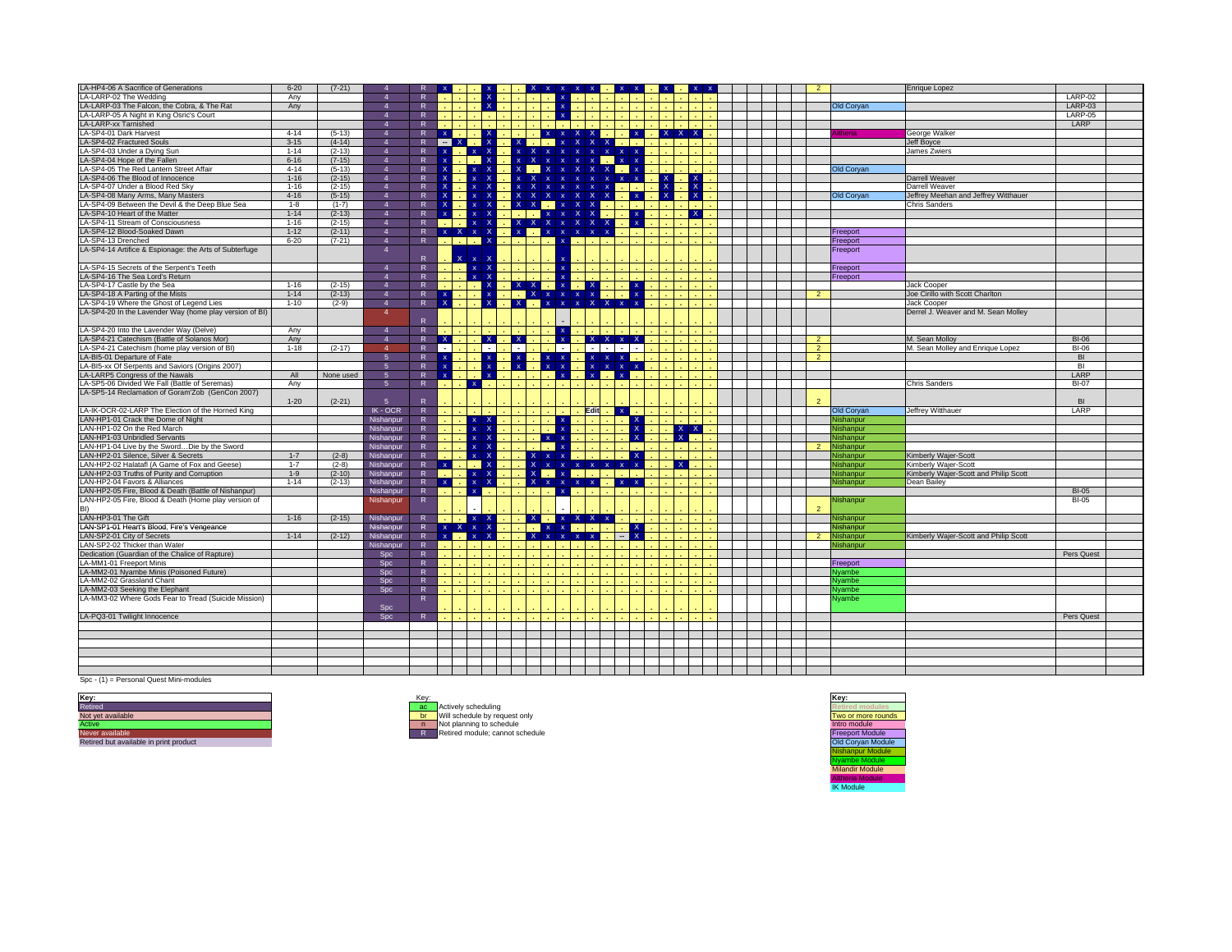| LA-HP4-06 A Sacrifice of Generations                    | $6 - 20$ | $(7-21)$  |                        |                |                           |              |              |                  |              | $x \times$                    | $\mathbf{x}$                 |                                                                                                                       |                  |              |              |  |                |                   | <b>Enrique Lopez</b>                  |              |  |
|---------------------------------------------------------|----------|-----------|------------------------|----------------|---------------------------|--------------|--------------|------------------|--------------|-------------------------------|------------------------------|-----------------------------------------------------------------------------------------------------------------------|------------------|--------------|--------------|--|----------------|-------------------|---------------------------------------|--------------|--|
| LA-LARP-02 The Wedding                                  | Anv      |           |                        | R              |                           |              |              |                  |              |                               |                              |                                                                                                                       |                  |              |              |  |                |                   |                                       | LARP-02      |  |
| LA-LARP-03 The Falcon, the Cobra, & The Rat             | Any      |           | $\boldsymbol{\Lambda}$ | $\mathsf{R}$   |                           |              | $\mathbf{X}$ |                  |              |                               |                              |                                                                                                                       |                  |              |              |  |                | Old Coryan        |                                       | LARP-03      |  |
| LA-LARP-05 A Night in King Osric's Court                |          |           | $\overline{4}$         | R              |                           |              |              |                  |              |                               |                              |                                                                                                                       |                  |              |              |  |                |                   |                                       | LARP-05      |  |
| LA-LARP-xx Tarnished                                    |          |           | $\boldsymbol{\Lambda}$ | R              |                           |              |              |                  |              |                               |                              |                                                                                                                       |                  |              |              |  |                |                   |                                       | LARP         |  |
| LA-SP4-01 Dark Harvest                                  | $4 - 14$ | $(5-13)$  | $\overline{4}$         | $\mathsf{R}$   | $\mathbf{x}$              |              | $\times$ 1   |                  |              | $x \times X$ $x$              |                              | na.                                                                                                                   | $\mathbf{x}$     | $X$ $X$ $X$  |              |  |                | <b>theria</b>     | George Walker                         |              |  |
| LA-SP4-02 Fractured Souls                               | $3 - 15$ | $(4-14)$  | $\overline{4}$         | R              | $-x$                      |              |              | IX.              |              |                               | $\mathsf{x}$                 | $X$ $X$ $Y$                                                                                                           |                  |              |              |  |                |                   | <b>Jeff Boyce</b>                     |              |  |
| LA-SP4-03 Under a Dying Sun                             | $1 - 14$ | $(2-13)$  | $\overline{4}$         | $\mathsf{R}$   | $\mathbf{x}$              | $\mathbf{x}$ | <b>X</b>     | $x \times$       |              |                               |                              | $x \times x$                                                                                                          |                  |              |              |  |                |                   | James Zwiers                          |              |  |
| LA-SP4-04 Hope of the Fallen                            | $6 - 16$ | $(7-15)$  | $\overline{4}$         | R              |                           |              |              | $\mathbf{x}$     |              |                               | $\mathbf{x}$<br>$\mathbf{x}$ |                                                                                                                       | $\mathbf{x}$     |              |              |  |                |                   |                                       |              |  |
| LA-SP4-05 The Red Lantern Street Affair                 | $4 - 14$ | $(5-13)$  | $\overline{4}$         | R              | -х                        |              |              |                  |              |                               | X.<br>$\mathsf{x}$           | $X$ $\mathbf{x}$                                                                                                      |                  |              |              |  |                | Old Coryan        |                                       |              |  |
| LA-SP4-06 The Blood of Innocence                        | $1 - 16$ | $(2-15)$  | $\overline{4}$         | $\overline{R}$ | ۰Ņ                        |              |              |                  |              |                               |                              |                                                                                                                       | $x \mid x$       | - X - I      |              |  |                |                   | Darrell Weaver                        |              |  |
| LA-SP4-07 Under a Blood Red Sky                         | $1 - 16$ | $(2-15)$  | $\overline{4}$         | R              | $\boldsymbol{\mathsf{x}}$ | $\mathbf{x}$ |              | $\mathbf{x}$     |              |                               | $\mathbf{x}$<br>$\mathbf{x}$ | $\mathbf{x}$<br><b>Carl</b>                                                                                           |                  |              |              |  |                |                   | Darrell Weaver                        |              |  |
| LA-SP4-08 Many Arms, Many Masters                       | $4 - 16$ | $(5-15)$  | $\boldsymbol{\Lambda}$ | R              | x                         | $\mathbf{x}$ |              | $X$ $X$          |              | $X$ $X$ $X$ $X$ $X$           |                              |                                                                                                                       | $\mathbf{x}$     | $\mathbf{x}$ |              |  |                | Old Coryan        | Jeffrey Meehan and Jeffrey Witthauer  |              |  |
| LA-SP4-09 Between the Devil & the Deep Blue Sea         | $1 - 8$  | $(1-7)$   | $\overline{4}$         | R              | $\mathbf x$               | $\mathbf{x}$ |              |                  |              | $X$ $X$ $X$                   | $\mathbf{x}$                 | $\mathcal{A}^{\mathcal{A}}$                                                                                           | - 11             |              |              |  |                |                   | Chris Sanders                         |              |  |
| LA-SP4-10 Heart of the Matter                           | $1 - 14$ | $(2-13)$  | $\overline{4}$         | $\mathsf{R}$   |                           | $\mathbf{x}$ |              |                  |              | $x \mid x$                    | $\mathbf{x}$<br>$\mathsf{x}$ |                                                                                                                       | $\mathbf{x}$     |              | $\mathbf{x}$ |  |                |                   |                                       |              |  |
| LA-SP4-11 Stream of Consciousness                       | $1 - 16$ | $(2-15)$  | $\overline{4}$         | R              |                           |              | $x \mid X$   |                  |              | $X$ $X$ $X$ $X$ $X$ $X$ $X$   |                              |                                                                                                                       | $\mathbf{x}$     |              |              |  |                |                   |                                       |              |  |
| LA-SP4-12 Blood-Soaked Dawn                             | $1 - 12$ | $(2-11)$  | $\overline{4}$         | R              |                           | $x$ $x$ $x$  | X.           |                  |              | X X X X X                     | $\mathbf{x}$                 | n.<br>$\mathbf{x}$                                                                                                    |                  |              |              |  |                | Freeport          |                                       |              |  |
| LA-SP4-13 Drenched                                      | $6 - 20$ | $(7-21)$  | $\overline{4}$         | $\overline{R}$ |                           | T   1   1    |              |                  |              | $\mathbf{x}$<br>$\Delta \phi$ | <b>All Ad</b>                |                                                                                                                       |                  |              |              |  |                | Freeport          |                                       |              |  |
| LA-SP4-14 Artifice & Espionage: the Arts of Subterfuge  |          |           | $\overline{4}$         | $\mathsf{R}$   |                           | $X$ $X$      |              |                  |              |                               |                              |                                                                                                                       |                  |              |              |  |                | Freeport          |                                       |              |  |
| LA-SP4-15 Secrets of the Serpent's Teeth                |          |           | $\overline{4}$         | $\overline{R}$ |                           | $\mathbf{x}$ | $\mathsf{x}$ |                  |              |                               |                              |                                                                                                                       |                  |              |              |  |                | Freeport          |                                       |              |  |
| LA-SP4-16 The Sea Lord's Return                         |          |           | $\overline{A}$         | $\mathsf{R}$   |                           |              |              |                  |              | $\mathbf{x}$                  |                              |                                                                                                                       |                  |              |              |  |                | Freeport          |                                       |              |  |
| LA-SP4-17 Castle by the Sea                             | $1 - 16$ | $(2-15)$  | $\overline{4}$         | R              |                           |              |              | $x \times$       |              | x <sub>1</sub>                | $\mathbf{X}$                 |                                                                                                                       | $\mathbf{x}$     |              |              |  |                |                   | <b>Jack Cooper</b>                    |              |  |
| LA-SP4-18 A Parting of the Mists                        | $1 - 14$ | $(2-13)$  | $\overline{4}$         | R              | $\mathbf{x}$              |              |              |                  |              | $\blacksquare$ X x x x x      |                              |                                                                                                                       |                  |              |              |  | $\overline{2}$ |                   | Joe Cirillo with Scott Charlton       |              |  |
| LA-SP4-19 Where the Ghost of Legend Lies                | $1 - 10$ | $(2-9)$   | $\overline{4}$         | R              | $\mathbf x$               |              | $\mathsf{x}$ | . <b>X .</b> .   |              | x x x x                       |                              |                                                                                                                       |                  |              |              |  |                |                   | Jack Cooper                           |              |  |
| LA-SP4-20 In the Lavender Way (home play version of BI) |          |           | $\mathbf{A}$           |                |                           |              |              |                  |              |                               |                              |                                                                                                                       |                  |              |              |  |                |                   | Derrel J. Weaver and M. Sean Molley   |              |  |
|                                                         |          |           |                        | $\mathsf{R}$   |                           |              |              |                  |              |                               |                              |                                                                                                                       |                  |              |              |  |                |                   |                                       |              |  |
| LA-SP4-20 Into the Lavender Way (Delve)                 | Any      |           | $\overline{4}$         | R              |                           |              |              |                  |              | $\mathbf{x}$                  |                              | <b>Contract Contract Contract Contract Contract Contract Contract Contract Contract Contract Contract Contract Co</b> |                  |              |              |  |                |                   |                                       |              |  |
| LA-SP4-21 Catechism (Battle of Solanos Mor)             | Any      |           | $\overline{4}$         | $\mathsf{R}$   | $\mathbf{x}$              |              | $\mathbf{X}$ | $\blacksquare$ X |              | $\mathbf{x}$                  |                              | $X$ $X$ $X$ $X$                                                                                                       |                  |              |              |  | $\overline{2}$ |                   | M. Sean Molloy                        | <b>BI-06</b> |  |
| LA-SP4-21 Catechism (home play version of BI)           | $1 - 18$ | $(2-17)$  | $\overline{4}$         | $\mathsf{R}$   | $\sim$                    |              | $\sim$       | - 1              |              | $\sim$                        | $\sim$                       | $\sim$<br>$\overline{\phantom{a}}$                                                                                    |                  |              |              |  | $\overline{2}$ |                   | M. Sean Molley and Enrique Lopez      | <b>BI-06</b> |  |
| LA-BI5-01 Departure of Fate                             |          |           | 5                      | R              | $\mathbf{x}$              |              |              | $\mathbf{x}$     |              | $x \times$                    | $\mathbf{x}$                 | $x \mid x$                                                                                                            |                  |              |              |  | 2              |                   |                                       | <b>BI</b>    |  |
| LA-BI5-xx Of Serpents and Saviors (Origins 2007)        |          |           | $5\overline{)}$        | R              |                           |              |              |                  |              | $x \times$                    | $\mathbf{x}$                 | $\mathbf{Y}$                                                                                                          | $x \mid x$       |              |              |  |                |                   |                                       | -BI          |  |
| LA-LARP5 Congress of the Nawals                         | All      | None used | 5                      | R              | $\mathbf{x}$              |              |              |                  |              | $\langle \mathbf{x} \rangle$  | $x = x + y$                  |                                                                                                                       |                  |              |              |  |                |                   |                                       | LARP         |  |
| LA-SP5-06 Divided We Fall (Battle of Seremas)           | Any      |           | -5                     | $\overline{R}$ |                           | $\mathbf{x}$ |              |                  |              |                               |                              |                                                                                                                       |                  |              |              |  |                |                   | <b>Chris Sanders</b>                  | $BI-07$      |  |
| LA-SP5-14 Reclamation of Goram'Zob (GenCon 2007)        | $1 - 20$ | $(2-21)$  | 5                      | $\mathsf{R}$   |                           |              |              |                  |              |                               |                              |                                                                                                                       |                  |              |              |  |                |                   |                                       | BI           |  |
| LA-IK-OCR-02-LARP The Election of the Horned King       |          |           | $IK - OCR$             | R              |                           |              |              |                  |              |                               | Edit                         |                                                                                                                       | $X = 1$          |              |              |  |                | <b>Old Coryan</b> | <b>Jeffrey Witthauer</b>              | LARP         |  |
| LAN-HP1-01 Crack the Dome of Night                      |          |           | Nishanpur              | R              |                           | $\mathbf{x}$ |              |                  |              |                               |                              |                                                                                                                       | X,               |              |              |  |                | Nishanpur         |                                       |              |  |
| LAN-HP1-02 On the Red March                             |          |           | Nishanpur              | R              |                           | $\mathbf{x}$ |              |                  |              |                               |                              |                                                                                                                       | $\mathbf{x}$     | $X$ $X$      |              |  |                | Nishanpur         |                                       |              |  |
| LAN-HP1-03 Unbridled Servants                           |          |           | Nishanpur              | R              |                           | $\mathbf{x}$ |              |                  |              | $x - x$                       |                              |                                                                                                                       | $\mathbf{x}$     | $\mathsf{X}$ |              |  |                | Nishanpur         |                                       |              |  |
| LAN-HP1-04 Live by the SwordDie by the Sword            |          |           | Nishanpur              | $\overline{R}$ |                           | ¥.           |              |                  |              |                               |                              |                                                                                                                       |                  |              |              |  | $\mathcal{P}$  | Nishanpur         |                                       |              |  |
| LAN-HP2-01 Silence, Silver & Secrets                    | $1 - 7$  | $(2-8)$   | Nishanpur              | R              |                           | $\mathbf{x}$ |              |                  | $\mathsf{x}$ | $x \times$                    |                              |                                                                                                                       | $\blacksquare$ X |              |              |  |                | Nishanpur         | Kimberly Wajer-Scott                  |              |  |
| LAN-HP2-02 Halatafl (A Game of Fox and Geese)           | $1 - 7$  | $(2-8)$   | Nishanpur              | R              | $\mathbf{x}$              | l a l        |              |                  | $X \times$   |                               |                              |                                                                                                                       | $\mathbf{x}$     | $\mathbf{X}$ |              |  |                | Nishanpur         | Kimberly Wajer-Scott                  |              |  |
| LAN-HP2-03 Truths of Purity and Corruption              | $1-9$    | $(2-10)$  | Nishanpur              | $\overline{R}$ |                           | $x \times$   |              |                  | $x \sim$     | $\mathbf{x}$                  |                              |                                                                                                                       |                  |              |              |  |                | Nishanpur         | Kimberly Wajer-Scott and Philip Scott |              |  |
| LAN-HP2-04 Favors & Alliances                           | $1 - 14$ | $(2-13)$  | Nishanpur              | R              | $\mathbf{x}$              |              | <b>X</b>     |                  |              | X X X X X                     |                              |                                                                                                                       | $x - x$          |              |              |  |                | Nishanpur         | Dean Bailey                           |              |  |
| LAN-HP2-05 Fire, Blood & Death (Battle of Nishanpur)    |          |           | Nishanpur              | R              |                           | $\mathbf{x}$ |              |                  |              | $\mathbf{x}$                  |                              | $\sim$                                                                                                                |                  |              |              |  |                |                   |                                       | <b>BI-05</b> |  |
| LAN-HP2-05 Fire, Blood & Death (Home play version of    |          |           | Nishanpur              | R              |                           |              |              |                  |              |                               |                              |                                                                                                                       |                  |              |              |  |                | Nishanpur         |                                       | <b>BI-05</b> |  |
| BI)                                                     |          |           |                        |                |                           |              |              |                  |              |                               |                              |                                                                                                                       |                  |              |              |  | $\overline{2}$ |                   |                                       |              |  |
| LAN-HP3-01 The Gift                                     | $1 - 16$ | $(2-15)$  | Nishanpur              | R              |                           | x x x        |              |                  |              | $X$ $X$ $X$ $X$ $X$           |                              |                                                                                                                       |                  |              |              |  |                | Nishanpur         |                                       |              |  |
| LAN-SP1-01 Heart's Blood, Fire's Vengeance              |          |           | Nishanpur              | R              |                           | $X$ $X$ $X$  |              |                  |              | <b>EXXX</b>                   |                              |                                                                                                                       | $\mathbf{x}$     |              |              |  |                | Nishanpur         |                                       |              |  |
| LAN-SP2-01 City of Secrets                              | $1 - 14$ | $(2-12)$  | Nishanpur              | R              |                           | $x \cdot x$  |              |                  | $X \times$   | <b>Y</b> Y                    | $\mathbf{x}$                 |                                                                                                                       | $\mathbf{x}$     |              |              |  | 2 <sup>1</sup> | Nishanpur         | Kimberly Wajer-Scott and Philip Scott |              |  |
| LAN-SP2-02 Thicker than Water                           |          |           | <b>Nishanpur</b>       | $\overline{R}$ |                           |              |              |                  |              |                               |                              |                                                                                                                       |                  |              |              |  |                | Nishanpur         |                                       |              |  |
| Dedication (Guardian of the Chalice of Rapture)         |          |           | Spc                    | R              |                           |              |              |                  |              |                               |                              |                                                                                                                       |                  |              |              |  |                |                   |                                       | Pers Quest   |  |
| LA-MM1-01 Freeport Minis                                |          |           | Spc                    | R              |                           |              |              |                  |              |                               |                              |                                                                                                                       |                  |              |              |  |                | Freeport          |                                       |              |  |
| LA-MM2-01 Nyambe Minis (Poisoned Future)                |          |           | Spc                    | R              |                           |              |              |                  |              |                               |                              |                                                                                                                       |                  |              |              |  |                | Nyambe            |                                       |              |  |
| LA-MM2-02 Grassland Chant                               |          |           | Spc                    | R              |                           |              |              |                  |              |                               |                              |                                                                                                                       |                  |              |              |  |                | <b>Nvambe</b>     |                                       |              |  |
| LA-MM2-03 Seeking the Elephant                          |          |           | Spc                    | R              |                           |              |              |                  |              |                               |                              |                                                                                                                       |                  |              |              |  |                | Nyambe            |                                       |              |  |
| LA-MM3-02 Where Gods Fear to Tread (Suicide Mission)    |          |           |                        | R              |                           |              |              |                  |              |                               |                              |                                                                                                                       |                  |              |              |  |                | Nyambe            |                                       |              |  |
|                                                         |          |           | Spc                    |                |                           |              |              |                  |              |                               |                              |                                                                                                                       |                  |              |              |  |                |                   |                                       |              |  |
| LA-PQ3-01 Twilight Innocence                            |          |           | Spc                    | R              |                           |              |              |                  |              |                               |                              |                                                                                                                       |                  |              |              |  |                |                   |                                       | Pers Quest   |  |
|                                                         |          |           |                        |                |                           |              |              |                  |              |                               |                              |                                                                                                                       |                  |              |              |  |                |                   |                                       |              |  |
|                                                         |          |           |                        |                |                           |              |              |                  |              |                               |                              |                                                                                                                       |                  |              |              |  |                |                   |                                       |              |  |
|                                                         |          |           |                        |                |                           |              |              |                  |              |                               |                              |                                                                                                                       |                  |              |              |  |                |                   |                                       |              |  |
|                                                         |          |           |                        |                |                           |              |              |                  |              |                               |                              |                                                                                                                       |                  |              |              |  |                |                   |                                       |              |  |
|                                                         |          |           |                        |                |                           |              |              |                  |              |                               |                              |                                                                                                                       |                  |              |              |  |                |                   |                                       |              |  |
|                                                         |          |           |                        |                |                           |              |              |                  |              |                               |                              |                                                                                                                       |                  |              |              |  |                |                   |                                       |              |  |

Spc - (1) = Personal Quest Mini-modules

Key:<br>Retired<br>Not yet available



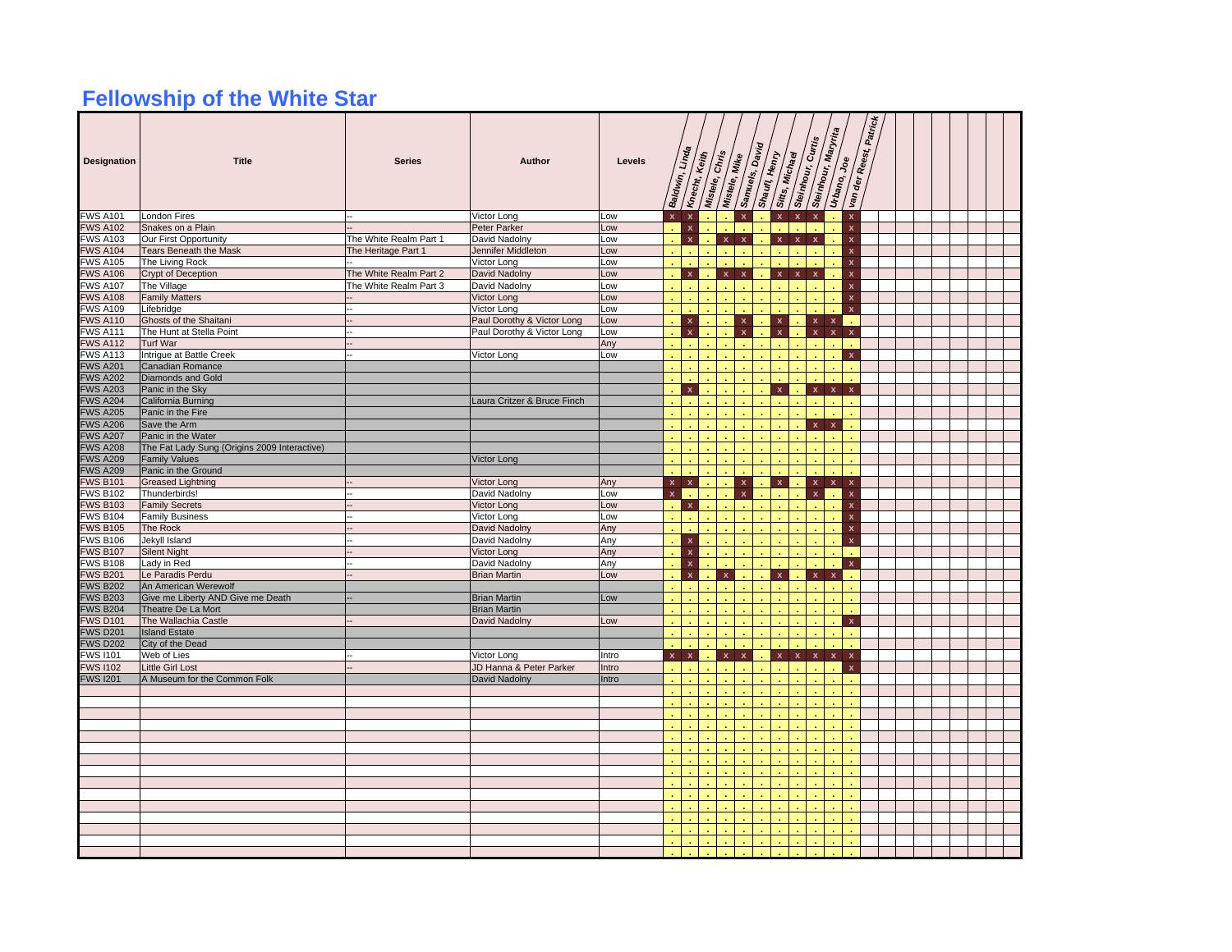## **Fellowship of the White Star**

| Designation                       | <b>Title</b>                                            | <b>Series</b>          | Author                                     | Levels |                | Baldwin, Linda          | Knecht, Keith<br>Mistele, Chris |                    | Mistele, Mike             | Samuels, David<br>Shaufi, Henry | Sitts, Michael            |                         | Steinhour, Curtis       | Steinhour, Maryrita<br>Urbano, | <b>Joe</b><br>Van der     | Patrick<br>Reest, |  |  |  |  |
|-----------------------------------|---------------------------------------------------------|------------------------|--------------------------------------------|--------|----------------|-------------------------|---------------------------------|--------------------|---------------------------|---------------------------------|---------------------------|-------------------------|-------------------------|--------------------------------|---------------------------|-------------------|--|--|--|--|
| <b>FWS A101</b>                   | London Fires                                            |                        | Victor Long                                | LOW    | $\mathbf{x}$   | $\mathbf{x}$            |                                 |                    |                           |                                 | $\overline{\mathbf{x}}$   | $\overline{\mathbf{x}}$ |                         |                                | $\mathbf x$               |                   |  |  |  |  |
| <b>FWS A102</b>                   | Snakes on a Plain                                       |                        | Peter Parker                               | Low    |                | $\mathbf x$             |                                 |                    |                           |                                 |                           |                         |                         |                                | $\pmb{\mathsf{x}}$        |                   |  |  |  |  |
| <b>WS A103</b>                    | Our First Opportunity                                   | The White Realm Part 1 | David Nadolny                              | .ow    |                | $\pmb{\mathsf{x}}$      |                                 | $\mathbf x$        | $\pmb{\mathsf{x}}$        |                                 | $\mathbf x$               | $\mathbf x$             | $\mathbf x$             |                                | $\mathbf x$               |                   |  |  |  |  |
| <b>WS A104</b>                    | <b>Tears Beneath the Mask</b>                           | The Heritage Part 1    | Jennifer Middleton                         | LOW    |                |                         |                                 |                    |                           |                                 |                           |                         |                         |                                | $\mathbf x$               |                   |  |  |  |  |
| <b>FWS A105</b>                   | The Living Rock                                         |                        | Victor Long                                | LOW    |                |                         |                                 |                    |                           |                                 |                           |                         |                         |                                | $\pmb{\mathsf{x}}$        |                   |  |  |  |  |
| <b>WS A106</b>                    | Crypt of Deception                                      | The White Realm Part 2 | David Nadolny                              | .ow    |                | $\mathbf x$             |                                 | $\pmb{\mathsf{x}}$ | $\boldsymbol{\mathsf{x}}$ |                                 | $\mathbf{x}$              | $\pmb{\mathsf{x}}$      | $\overline{\mathbf{x}}$ |                                | $\boldsymbol{\mathsf{x}}$ |                   |  |  |  |  |
| <b>FWS A107</b>                   | The Village                                             | The White Realm Part 3 | David Nadolny                              | LOW    |                |                         |                                 |                    |                           |                                 |                           |                         |                         |                                | $\mathbf{x}$              |                   |  |  |  |  |
| <b>WS A108</b>                    | <b>Family Matters</b>                                   |                        | Victor Long                                | LOW    |                |                         |                                 |                    |                           |                                 |                           |                         |                         |                                | $\mathbf{x}$              |                   |  |  |  |  |
| <b>WS A109</b>                    | Lifebridge                                              |                        | Victor Long                                | Low    |                |                         |                                 |                    |                           |                                 |                           |                         |                         |                                | $\boldsymbol{\mathsf{x}}$ |                   |  |  |  |  |
| <b>WS A110</b>                    | Ghosts of the Shaitani                                  |                        | Paul Dorothy & Victor Long                 | LOW    |                | $\pmb{\mathsf{x}}$      |                                 |                    | $\mathbf{x}$              |                                 | $\pmb{\mathsf{x}}$        |                         | $\mathbf{x}$            | $\mathbf x$                    |                           |                   |  |  |  |  |
| <b>FWS A111</b>                   | The Hunt at Stella Point                                |                        | Paul Dorothy & Victor Long                 | LOW    |                | $\mathbf x$             |                                 |                    | $\mathbf{x}$              |                                 | $\mathbf{x}$              |                         | $\mathbf x$             | $\pmb{\mathsf{x}}$             | $\mathbf{x}$              |                   |  |  |  |  |
| <b>WS A112</b>                    | Turf War                                                |                        |                                            | Any    |                |                         |                                 |                    |                           |                                 |                           |                         |                         |                                |                           |                   |  |  |  |  |
| <b>FWS A113</b>                   | Intrique at Battle Creek                                |                        | Victor Long                                | Low    |                |                         |                                 |                    |                           |                                 |                           |                         |                         |                                | $\mathbf{x}$              |                   |  |  |  |  |
| <b>WS A201</b>                    | Canadian Romance                                        |                        |                                            |        |                |                         |                                 |                    |                           |                                 |                           |                         |                         |                                |                           |                   |  |  |  |  |
| <b>WS A202</b>                    | Diamonds and Gold                                       |                        |                                            |        |                |                         |                                 |                    |                           |                                 |                           |                         |                         |                                |                           |                   |  |  |  |  |
| <b>WS A203</b>                    | Panic in the Sky                                        |                        |                                            |        |                | $\mathbf x$             |                                 |                    |                           |                                 | $\mathbf x$               |                         | $\mathbf x$             | $\pmb{\mathsf{x}}$             | $\mathbf{x}$              |                   |  |  |  |  |
| <b>WS A204</b>                    | California Burning                                      |                        | Laura Critzer & Bruce Finch                |        |                |                         |                                 |                    |                           |                                 |                           |                         |                         |                                |                           |                   |  |  |  |  |
| <b>FWS A205</b>                   | Panic in the Fire                                       |                        |                                            |        |                |                         |                                 |                    |                           |                                 |                           |                         |                         |                                |                           |                   |  |  |  |  |
| <b>WS A206</b>                    | Save the Arm                                            |                        |                                            |        |                |                         |                                 |                    |                           |                                 |                           |                         | $\pmb{\mathsf{x}}$      | $\mathbf x$                    |                           |                   |  |  |  |  |
| <b>WS A207</b>                    | Panic in the Water                                      |                        |                                            |        |                |                         |                                 |                    |                           |                                 |                           |                         |                         |                                |                           |                   |  |  |  |  |
| <b>WS A208</b>                    | The Fat Lady Sung (Origins 2009 Interactive)            |                        |                                            |        |                |                         |                                 |                    |                           |                                 |                           |                         |                         |                                |                           |                   |  |  |  |  |
| <b>WS A209</b>                    | <b>Family Values</b>                                    |                        | Victor Long                                |        |                |                         |                                 |                    |                           |                                 |                           |                         |                         |                                |                           |                   |  |  |  |  |
| <b>WS A209</b>                    | Panic in the Ground                                     |                        |                                            |        |                |                         |                                 |                    |                           |                                 |                           |                         |                         |                                |                           |                   |  |  |  |  |
| <b>WS B101</b>                    | <b>Greased Lightning</b>                                |                        | Victor Long                                | Any    | $\mathbf{x}$   | $\mathbf{x}$            |                                 |                    | $\mathbf{x}$              |                                 | $\boldsymbol{\mathsf{x}}$ |                         | $\mathbf{x}$            | $\mathbf{x}$                   | $\boldsymbol{\mathsf{x}}$ |                   |  |  |  |  |
| <b>WS B102</b>                    | Thunderbirds!                                           |                        | David Nadolny                              | .ow    |                |                         |                                 |                    | $\boldsymbol{\mathsf{x}}$ |                                 |                           |                         | $\mathbf x$             |                                | $\mathbf{x}$              |                   |  |  |  |  |
| <b>WS B103</b>                    | <b>Family Secrets</b>                                   |                        | Victor Long                                | .ow    |                | $\pmb{\mathsf{x}}$      |                                 |                    |                           |                                 |                           |                         |                         |                                | $\boldsymbol{\mathsf{x}}$ |                   |  |  |  |  |
| <b>FWS B104</b>                   | <b>Family Business</b>                                  |                        | Victor Long                                | Low    |                |                         |                                 |                    |                           |                                 |                           |                         |                         |                                | $\pmb{\mathsf{x}}$        |                   |  |  |  |  |
| <b>WS B105</b>                    | The Rock                                                |                        | David Nadolny                              | Any    |                |                         |                                 |                    |                           |                                 |                           |                         |                         |                                | $\mathbf x$               |                   |  |  |  |  |
| <b>WS B106</b>                    | Jekyll Island                                           |                        | David Nadolny                              | Any    |                | x                       |                                 |                    |                           |                                 |                           |                         |                         |                                | $\mathbf{x}$              |                   |  |  |  |  |
| <b>FWS B107</b>                   | <b>Silent Night</b>                                     |                        | Victor Long                                | Any    |                | $\mathbf x$             |                                 |                    |                           |                                 |                           |                         |                         |                                |                           |                   |  |  |  |  |
| <b>WS B108</b>                    | Lady in Red                                             |                        | David Nadolny                              | Any    |                | $\pmb{\mathsf{x}}$      |                                 |                    |                           |                                 |                           |                         |                         |                                | $\boldsymbol{\mathsf{x}}$ |                   |  |  |  |  |
| <b>FWS B201</b>                   | Le Paradis Perdu                                        |                        | <b>Brian Martin</b>                        | Low    |                | $\overline{\mathbf{x}}$ |                                 | $\mathbf{x}$       |                           |                                 | $\mathbf x$               |                         | $\pmb{\mathsf{x}}$      | $\mathbf{x}$                   |                           |                   |  |  |  |  |
| <b>WS B202</b>                    | An American Werewolf                                    |                        |                                            |        |                |                         |                                 |                    |                           |                                 |                           |                         |                         |                                |                           |                   |  |  |  |  |
| <b>EWS B203</b><br><b>WS B204</b> | Give me Liberty AND Give me Death<br>Theatre De La Mort |                        | <b>Brian Martin</b><br><b>Brian Martin</b> | Low    |                |                         |                                 |                    |                           |                                 |                           |                         |                         |                                |                           |                   |  |  |  |  |
|                                   |                                                         |                        |                                            |        |                |                         |                                 |                    |                           |                                 |                           |                         |                         |                                |                           |                   |  |  |  |  |
| <b>WS D101</b><br><b>WS D201</b>  | The Wallachia Castle<br><b>Island Estate</b>            |                        | David Nadolny                              | Low    |                |                         |                                 |                    |                           |                                 |                           |                         |                         |                                | $\mathbf{x}$              |                   |  |  |  |  |
| <b>WS D202</b>                    | City of the Dead                                        |                        |                                            |        |                |                         |                                 |                    |                           |                                 |                           |                         |                         |                                |                           |                   |  |  |  |  |
| <b>WS 1101</b>                    | Web of Lies                                             |                        | Victor Long                                | Intro  | $\mathbf{x}^-$ | $\mathbf x$             |                                 | $\mathbf x$        | $\mathbf{x}$              |                                 | $\mathbf x$               | $\mathbf x$             | $\mathbf x$             | $\mathbf x$                    | $\pmb{\mathsf{x}}$        |                   |  |  |  |  |
| <b>WS 1102</b>                    | <b>Little Girl Lost</b>                                 |                        | JD Hanna & Peter Parker                    | Intro  |                |                         |                                 |                    |                           |                                 |                           |                         |                         |                                | $\mathbf{x}$              |                   |  |  |  |  |
| <b>FWS I201</b>                   | A Museum for the Common Folk                            |                        | David Nadolny                              | Intro  |                |                         |                                 |                    |                           |                                 |                           |                         |                         |                                |                           |                   |  |  |  |  |
|                                   |                                                         |                        |                                            |        |                |                         |                                 |                    |                           |                                 |                           |                         |                         |                                |                           |                   |  |  |  |  |
|                                   |                                                         |                        |                                            |        |                |                         |                                 |                    |                           |                                 |                           |                         |                         |                                |                           |                   |  |  |  |  |
|                                   |                                                         |                        |                                            |        |                |                         |                                 |                    |                           |                                 |                           |                         |                         |                                |                           |                   |  |  |  |  |
|                                   |                                                         |                        |                                            |        |                |                         |                                 |                    |                           |                                 |                           |                         |                         |                                |                           |                   |  |  |  |  |
|                                   |                                                         |                        |                                            |        |                |                         |                                 |                    |                           |                                 |                           |                         |                         |                                |                           |                   |  |  |  |  |
|                                   |                                                         |                        |                                            |        |                |                         |                                 |                    |                           |                                 |                           |                         |                         |                                |                           |                   |  |  |  |  |
|                                   |                                                         |                        |                                            |        |                |                         |                                 |                    |                           |                                 |                           |                         |                         |                                |                           |                   |  |  |  |  |
|                                   |                                                         |                        |                                            |        |                |                         |                                 |                    |                           |                                 |                           |                         |                         |                                |                           |                   |  |  |  |  |
|                                   |                                                         |                        |                                            |        |                |                         |                                 |                    |                           |                                 |                           |                         |                         |                                |                           |                   |  |  |  |  |
|                                   |                                                         |                        |                                            |        |                |                         |                                 |                    |                           |                                 |                           |                         |                         |                                |                           |                   |  |  |  |  |
|                                   |                                                         |                        |                                            |        |                |                         |                                 |                    |                           |                                 |                           |                         |                         |                                |                           |                   |  |  |  |  |
|                                   |                                                         |                        |                                            |        |                |                         |                                 |                    |                           |                                 |                           |                         |                         |                                |                           |                   |  |  |  |  |
|                                   |                                                         |                        |                                            |        |                |                         |                                 |                    |                           |                                 |                           |                         |                         |                                |                           |                   |  |  |  |  |
|                                   |                                                         |                        |                                            |        |                |                         |                                 |                    |                           |                                 |                           |                         |                         |                                |                           |                   |  |  |  |  |
|                                   |                                                         |                        |                                            |        |                |                         |                                 |                    |                           |                                 |                           |                         |                         |                                |                           |                   |  |  |  |  |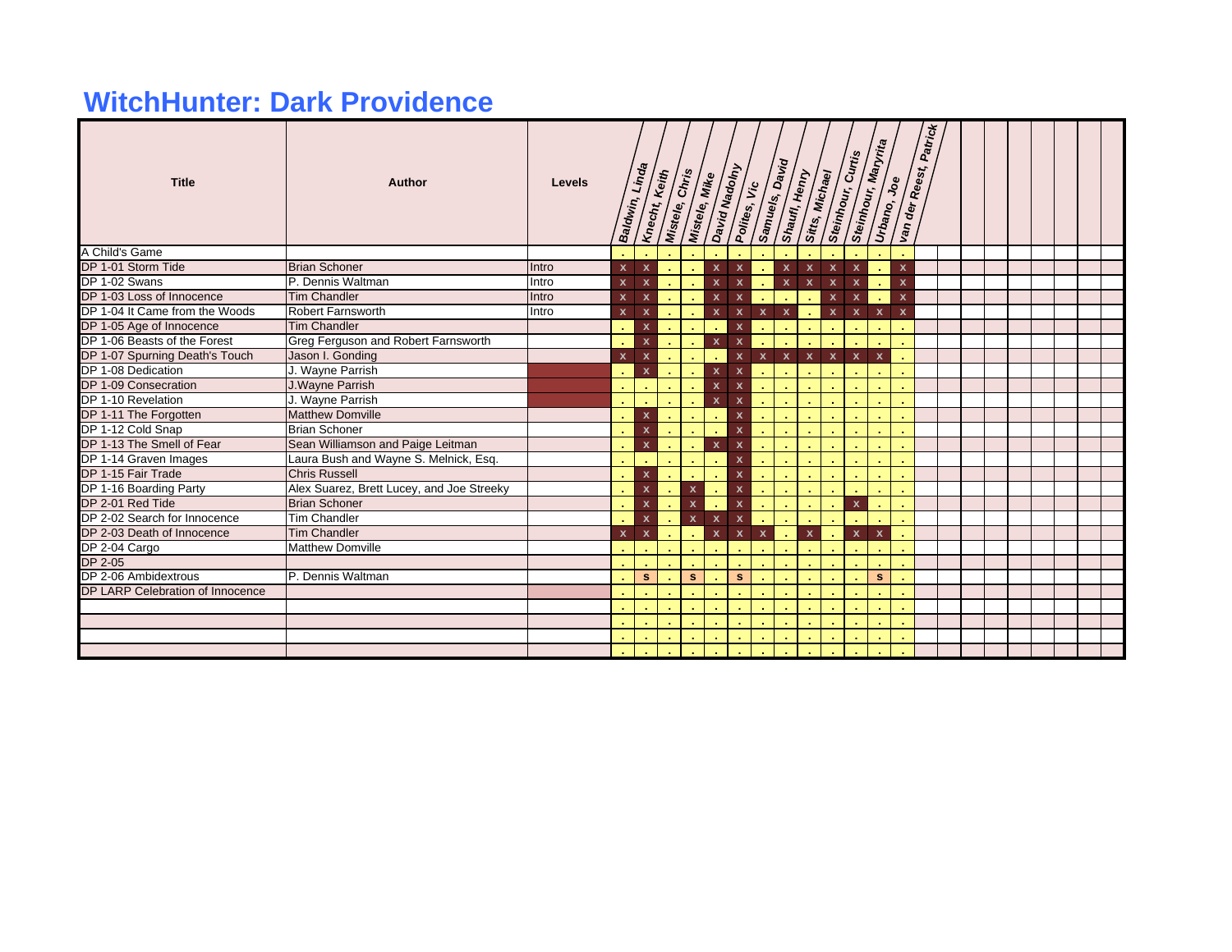## **WitchHunter: Dark Providence**

| <b>Title</b>                     | Author                                    | Levels | Baldwin, Linda            | Knecht, Keith             | Mistele, Chris | Mistele, Mike |                           | David Nadolny             |              | <b>Samuels, David</b><br>Shawl, Henry | Sitts, Michael            | Steinhour, Curtis         |              | Steinhour, Maryrita<br>Urbano, Joe | Van der Reest,            | Patrick |  |  |  |  |
|----------------------------------|-------------------------------------------|--------|---------------------------|---------------------------|----------------|---------------|---------------------------|---------------------------|--------------|---------------------------------------|---------------------------|---------------------------|--------------|------------------------------------|---------------------------|---------|--|--|--|--|
| A Child's Game                   |                                           |        |                           |                           |                |               |                           |                           |              |                                       |                           |                           |              |                                    |                           |         |  |  |  |  |
| DP 1-01 Storm Tide               | <b>Brian Schoner</b>                      | Intro  | $\boldsymbol{\mathsf{x}}$ | $\boldsymbol{\mathsf{x}}$ | - 11           | $\sim$        | $\mathbf{x}$              | $\pmb{\mathsf{x}}$        |              | $\boldsymbol{\mathsf{x}}$             | $\boldsymbol{\mathsf{x}}$ | $\boldsymbol{\mathsf{x}}$ | $\mathbf{x}$ | <b>A</b>                           | $\mathbf x$               |         |  |  |  |  |
| DP 1-02 Swans                    | P. Dennis Waltman                         | Intro  | $\mathbf{x}$              | $\boldsymbol{\mathsf{x}}$ |                |               | $\pmb{\mathsf{x}}$        | $\mathbf{x}$              |              | $\pmb{\mathsf{x}}$                    | $\mathbf{x}$              | $\boldsymbol{\mathsf{x}}$ | $\mathbf{x}$ | $\sim$                             | $\boldsymbol{\mathsf{x}}$ |         |  |  |  |  |
| DP 1-03 Loss of Innocence        | <b>Tim Chandler</b>                       | Intro  | $\mathbf{x}$              | $\boldsymbol{\mathsf{x}}$ |                |               | $\mathbf x$               | $\mathbf{x}$              |              |                                       |                           | $\boldsymbol{\mathsf{x}}$ | $\mathbf{x}$ | $\sim$                             | $\boldsymbol{\mathsf{x}}$ |         |  |  |  |  |
| DP 1-04 It Came from the Woods   | Robert Farnsworth                         | Intro  | $\mathbf{x}$              | $\boldsymbol{\mathsf{x}}$ |                |               | $\pmb{\mathsf{x}}$        | $\boldsymbol{\mathsf{x}}$ | $\mathbf{x}$ | $\mathbf{x}$                          |                           | $\mathbf{x}$              | $\mathbf{x}$ | $\mathbf{x}$                       | $\boldsymbol{\mathsf{x}}$ |         |  |  |  |  |
| DP 1-05 Age of Innocence         | <b>Tim Chandler</b>                       |        |                           | $\pmb{\mathsf{x}}$        |                |               | $\sim$                    | $\boldsymbol{\mathsf{x}}$ |              |                                       | ÷.                        |                           |              |                                    |                           |         |  |  |  |  |
| DP 1-06 Beasts of the Forest     | Greg Ferguson and Robert Farnsworth       |        |                           | $\mathbf{x}$              |                |               | $\mathbf{x}$              | $\mathbf{x}$              |              |                                       |                           |                           |              |                                    |                           |         |  |  |  |  |
| DP 1-07 Spurning Death's Touch   | Jason I. Gonding                          |        | $\mathbf{x}$              | $\boldsymbol{\mathsf{x}}$ |                |               |                           | $\boldsymbol{\mathsf{x}}$ | $\mathbf{x}$ | $\mathbf{x}$                          | $\mathbf{x}$              | $\mathbf{x}$              | $\mathbf{x}$ | $\boldsymbol{x}$                   |                           |         |  |  |  |  |
| DP 1-08 Dedication               | J. Wayne Parrish                          |        |                           | $\mathbf{x}$              |                |               | $\pmb{\mathsf{x}}$        | $\boldsymbol{\mathsf{x}}$ |              |                                       |                           |                           |              |                                    |                           |         |  |  |  |  |
| DP 1-09 Consecration             | J. Wayne Parrish                          |        |                           |                           |                |               | $\mathbf{x}$              | $\mathbf{x}$              |              |                                       |                           |                           |              |                                    |                           |         |  |  |  |  |
| DP 1-10 Revelation               | J. Wayne Parrish                          |        |                           |                           |                |               | $\mathbf{x}$              | $\mathbf{x}$              | $\sim$       |                                       |                           |                           |              |                                    |                           |         |  |  |  |  |
| DP 1-11 The Forgotten            | <b>Matthew Domville</b>                   |        |                           | $\mathbf{x}$              |                |               |                           | $\pmb{\mathsf{x}}$        |              |                                       |                           |                           |              |                                    |                           |         |  |  |  |  |
| DP 1-12 Cold Snap                | <b>Brian Schoner</b>                      |        |                           | $\mathbf{x}$              |                |               |                           | $\pmb{\mathsf{x}}$        |              |                                       |                           |                           |              |                                    |                           |         |  |  |  |  |
| DP 1-13 The Smell of Fear        | Sean Williamson and Paige Leitman         |        |                           | $\mathbf{x}$              |                |               | $\mathbf{x}$              | $\pmb{\mathsf{x}}$        |              |                                       |                           |                           |              |                                    |                           |         |  |  |  |  |
| DP 1-14 Graven Images            | Laura Bush and Wayne S. Melnick, Esq.     |        |                           |                           |                |               |                           | $\pmb{\mathsf{x}}$        |              |                                       |                           |                           |              |                                    |                           |         |  |  |  |  |
| DP 1-15 Fair Trade               | <b>Chris Russell</b>                      |        |                           | $\boldsymbol{\mathsf{x}}$ |                |               |                           | $\pmb{\mathsf{x}}$        |              |                                       |                           |                           |              |                                    |                           |         |  |  |  |  |
| DP 1-16 Boarding Party           | Alex Suarez, Brett Lucey, and Joe Streeky |        |                           | $\mathbf{x}$              | $\sim$         | $\mathbf{x}$  |                           | $\pmb{\mathsf{x}}$        |              |                                       |                           |                           |              |                                    |                           |         |  |  |  |  |
| DP 2-01 Red Tide                 | <b>Brian Schoner</b>                      |        |                           | $\mathbf{x}$              | $\sim$         | $\mathbf{x}$  | ×                         | $\pmb{\mathsf{x}}$        |              |                                       |                           | ×.                        | $\mathbf{x}$ |                                    |                           |         |  |  |  |  |
| DP 2-02 Search for Innocence     | <b>Tim Chandler</b>                       |        |                           | $\mathbf{x}$              |                | $\mathbf{x}$  | $\boldsymbol{\mathsf{x}}$ | $\boldsymbol{\mathsf{x}}$ |              |                                       |                           |                           |              |                                    |                           |         |  |  |  |  |
| DP 2-03 Death of Innocence       | <b>Tim Chandler</b>                       |        | $\boldsymbol{\mathsf{x}}$ | $\boldsymbol{\mathsf{x}}$ |                |               | $\mathbf{x}$              | $\mathbf{x}$              | $\mathbf{x}$ |                                       | $\boldsymbol{\mathsf{x}}$ | $\sim$                    | $\mathbf{x}$ | $\boldsymbol{\mathsf{x}}$          |                           |         |  |  |  |  |
| DP 2-04 Cargo                    | <b>Matthew Domville</b>                   |        |                           |                           |                |               |                           |                           |              |                                       |                           |                           |              |                                    |                           |         |  |  |  |  |
| DP 2-05                          |                                           |        |                           |                           |                |               |                           |                           |              |                                       |                           |                           |              |                                    |                           |         |  |  |  |  |
| DP 2-06 Ambidextrous             | P. Dennis Waltman                         |        |                           | s                         |                | s             |                           | s                         |              |                                       |                           |                           |              | s.                                 |                           |         |  |  |  |  |
| DP LARP Celebration of Innocence |                                           |        |                           |                           |                |               |                           |                           |              |                                       |                           |                           |              |                                    |                           |         |  |  |  |  |
|                                  |                                           |        |                           |                           |                |               |                           |                           |              |                                       |                           |                           |              |                                    |                           |         |  |  |  |  |
|                                  |                                           |        |                           |                           |                |               |                           |                           |              |                                       |                           |                           |              |                                    |                           |         |  |  |  |  |
|                                  |                                           |        |                           |                           |                |               |                           |                           |              |                                       |                           |                           |              |                                    |                           |         |  |  |  |  |
|                                  |                                           |        |                           |                           |                |               |                           |                           |              |                                       |                           |                           |              |                                    |                           |         |  |  |  |  |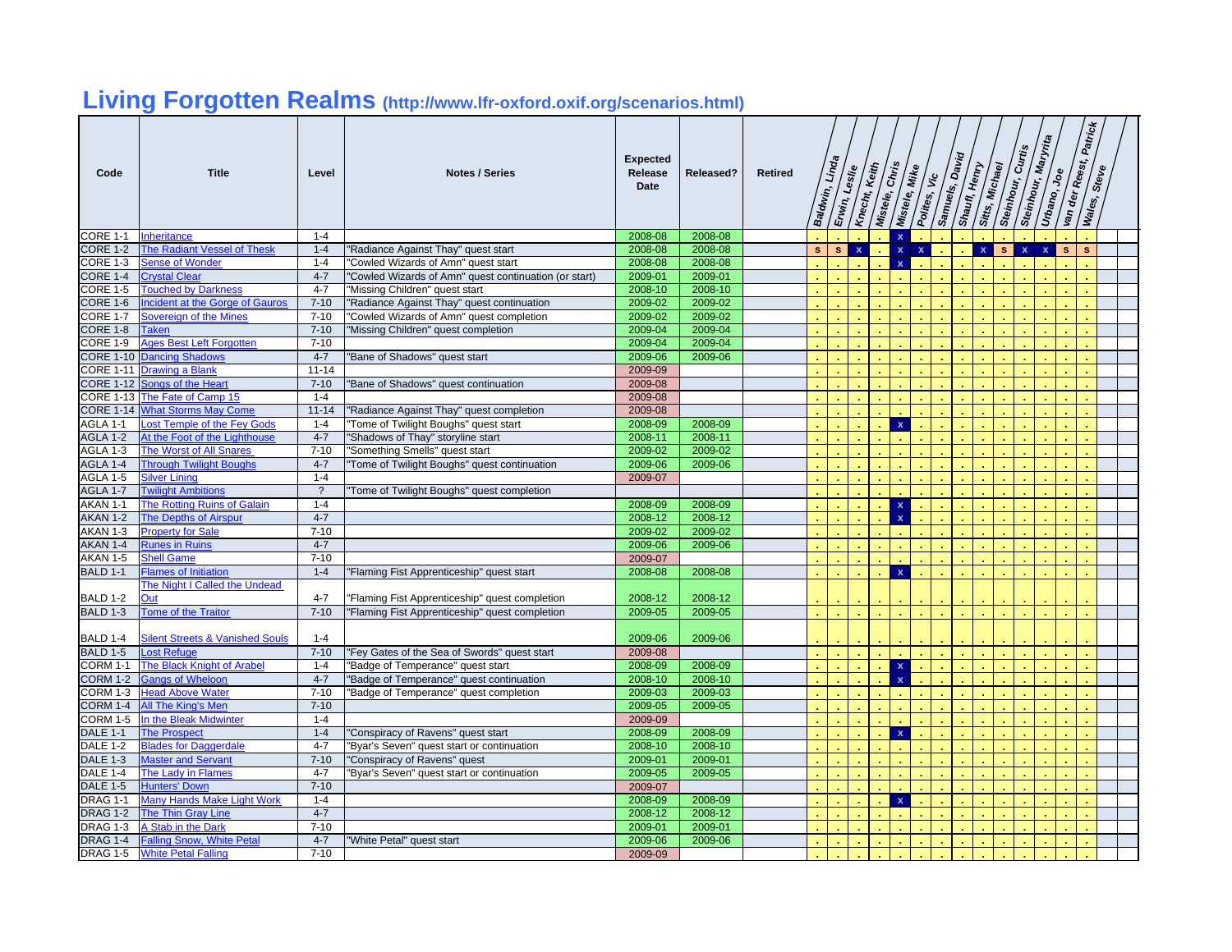# **Living Forgotten Realms (http://www.lfr-oxford.oxif.org/scenarios.html)**

| Code                               | <b>Title</b>                                              | Level               | <b>Notes / Series</b>                                 | <b>Expected</b><br>Release<br>Date | <b>Released?</b> | <b>Retired</b> | Baldwin, | Linda        | Erwin, Leslie<br>Knecht, | Keith<br>Mistele, | $\sqrt{\dot{s}}$<br>Mistele, | <b>Mike</b><br>Polites, | Samuels, Day<br>/కి | Shaufl, Henry | Sitts, Michael | Steinhour,   | Curtis<br>Steinhour, | Maryrita<br>Urbano, | Joe | Patrick<br>van der Reest, i<br>Wales, | Steve |  |
|------------------------------------|-----------------------------------------------------------|---------------------|-------------------------------------------------------|------------------------------------|------------------|----------------|----------|--------------|--------------------------|-------------------|------------------------------|-------------------------|---------------------|---------------|----------------|--------------|----------------------|---------------------|-----|---------------------------------------|-------|--|
| <b>CORE 1-1</b>                    | <b>Inheritance</b>                                        | $1 - 4$             |                                                       | 2008-08                            | 2008-08          |                |          |              |                          |                   | $\mathbf x$                  |                         |                     |               |                |              |                      |                     |     |                                       |       |  |
| <b>CORE 1-2</b>                    | <b>The Radiant Vessel of Thesk</b>                        | $1 - 4$             | "Radiance Against Thay" quest start                   | 2008-08                            | 2008-08          |                | s.       | $\mathbf{s}$ | $\mathbf{x}$             |                   | $\overline{\mathbf{x}}$      | $\mathbf{x}$            |                     |               | $\mathbf{x}$   | $\mathbf{s}$ | $\mathbf{x}$         | $\mathbf{x}$        | s   |                                       |       |  |
| CORE 1-3                           | <b>Sense of Wonder</b>                                    | $1 - 4$             | "Cowled Wizards of Amn" quest start                   | 2008-08                            | 2008-08          |                |          |              |                          |                   | $\mathbf{x}$                 |                         |                     |               |                |              |                      |                     |     |                                       |       |  |
| <b>CORE 1-4</b>                    | <b>Crystal Clear</b>                                      | $4 - 7$             | "Cowled Wizards of Amn" quest continuation (or start) | 2009-01                            | 2009-01          |                |          |              |                          |                   |                              |                         |                     |               |                |              |                      |                     |     |                                       |       |  |
| <b>CORE 1-5</b>                    | <b>Touched by Darkness</b>                                | $4 - 7$             | "Missing Children" quest start                        | 2008-10                            | 2008-10          |                |          |              |                          |                   |                              |                         |                     |               |                |              |                      |                     |     |                                       |       |  |
| CORE 1-6                           | Incident at the Gorge of Gauros                           | $7 - 10$            | "Radiance Against Thay" quest continuation            | 2009-02                            | 2009-02          |                |          |              |                          |                   |                              |                         |                     |               |                |              |                      |                     |     |                                       |       |  |
| CORE 1-7                           | Sovereign of the Mines                                    | $7 - 10$            | "Cowled Wizards of Amn" quest completion              | 2009-02                            | 2009-02          |                |          |              |                          |                   |                              |                         |                     |               |                |              |                      |                     |     |                                       |       |  |
| <b>CORE 1-8</b>                    | <b>Taken</b>                                              | $7 - 10$            | "Missing Children" quest completion                   | 2009-04                            | 2009-04          |                |          |              |                          |                   |                              |                         |                     |               |                |              |                      |                     |     |                                       |       |  |
| CORE 1-9                           | <b>Ages Best Left Forgotten</b>                           | $7 - 10$            |                                                       | 2009-04                            | 2009-04          |                |          |              |                          |                   |                              |                         |                     |               |                |              |                      |                     |     |                                       |       |  |
| <b>CORE 1-10</b>                   | <b>Dancing Shadows</b>                                    | $4 - 7$             | "Bane of Shadows" quest start                         | 2009-06                            | 2009-06          |                |          |              |                          |                   |                              |                         |                     |               |                |              |                      |                     |     |                                       |       |  |
| CORE 1-11                          | <b>Drawing a Blank</b>                                    | $11 - 14$           |                                                       | 2009-09                            |                  |                |          |              |                          |                   |                              |                         |                     |               |                |              |                      |                     |     |                                       |       |  |
| <b>CORE 1-12</b>                   | Songs of the Heart                                        | $7 - 10$            | "Bane of Shadows" quest continuation                  | 2009-08                            |                  |                |          |              |                          |                   |                              |                         |                     |               |                |              |                      |                     |     |                                       |       |  |
|                                    | CORE 1-13 The Fate of Camp 15                             | $1 - 4$             |                                                       | 2009-08                            |                  |                |          |              |                          |                   |                              |                         |                     |               |                |              |                      |                     |     |                                       |       |  |
|                                    | <b>CORE 1-14 What Storms May Come</b>                     | $11 - 14$           | "Radiance Against Thay" quest completion              | 2009-08                            |                  |                |          |              |                          |                   |                              |                         |                     |               |                |              |                      |                     |     |                                       |       |  |
| AGLA 1-1                           | <b>Lost Temple of the Fey Gods</b>                        | $1 - 4$             | "Tome of Twilight Boughs" quest start                 | 2008-09                            | 2008-09          |                |          |              |                          |                   | $\mathbf{x}$                 |                         |                     |               |                |              |                      |                     |     |                                       |       |  |
| AGLA 1-2                           | At the Foot of the Lighthouse                             | $4 - 7$             | "Shadows of Thay" storyline start                     | 2008-11                            | 2008-11          |                |          |              |                          |                   |                              |                         |                     |               |                |              |                      |                     |     |                                       |       |  |
| AGLA 1-3                           | <b>The Worst of All Snares</b>                            | $7 - 10$            | "Something Smells" quest start                        | 2009-02                            | 2009-02          |                |          |              |                          |                   |                              |                         |                     |               |                |              |                      |                     |     |                                       |       |  |
| <b>AGLA 1-4</b>                    | <b>Through Twilight Boughs</b>                            | $4 - 7$             | "Tome of Twilight Boughs" quest continuation          | 2009-06                            | 2009-06          |                |          |              |                          |                   |                              |                         |                     |               |                |              |                      |                     |     |                                       |       |  |
| AGLA 1-5                           | Silver Linina                                             | $1 - 4$             |                                                       | 2009-07                            |                  |                |          |              |                          |                   |                              |                         |                     |               |                |              |                      |                     |     |                                       |       |  |
| AGLA 1-7                           | <b>Twilight Ambitions</b>                                 | $\overline{\cdot}$  | Tome of Twilight Boughs" quest completion             |                                    |                  |                |          |              |                          |                   |                              |                         |                     |               |                |              |                      |                     |     |                                       |       |  |
| AKAN 1-1                           | <b>The Rotting Ruins of Galain</b>                        | $1 - 4$             |                                                       | 2008-09                            | 2008-09          |                |          |              |                          |                   | $\mathbf x$                  |                         |                     |               |                |              |                      |                     |     |                                       |       |  |
| AKAN 1-2                           | <b>The Depths of Airspur</b>                              | $4 - 7$             |                                                       | 2008-12                            | 2008-12          |                |          |              |                          |                   | $\mathbf{x}$                 |                         |                     |               |                |              |                      |                     |     |                                       |       |  |
| AKAN 1-3                           | <b>Property for Sale</b>                                  | $7 - 10$            |                                                       | 2009-02                            | 2009-02          |                |          |              |                          |                   |                              |                         |                     |               |                |              |                      |                     |     |                                       |       |  |
| AKAN 1-4                           | <b>Runes in Ruins</b>                                     | $4 - 7$             |                                                       | 2009-06                            | 2009-06          |                |          |              |                          |                   |                              |                         |                     |               |                |              |                      |                     |     |                                       |       |  |
| AKAN 1-5                           | <b>Shell Game</b>                                         | $7 - 10$            |                                                       | 2009-07                            |                  |                |          |              |                          |                   |                              |                         |                     |               |                |              |                      |                     |     |                                       |       |  |
| <b>BALD 1-1</b>                    | <b>Flames of Initiation</b>                               | $1 - 4$             | "Flaming Fist Apprenticeship" quest start             | 2008-08                            | 2008-08          |                |          |              |                          |                   | $\mathbf{x}$                 |                         |                     |               |                |              |                      |                     |     |                                       |       |  |
|                                    | The Night I Called the Undead                             |                     |                                                       |                                    |                  |                |          |              |                          |                   |                              |                         |                     |               |                |              |                      |                     |     |                                       |       |  |
| <b>BALD 1-2</b>                    | Out                                                       | $4 - 7$             | "Flaming Fist Apprenticeship" quest completion        | 2008-12                            | 2008-12          |                |          |              |                          |                   |                              |                         |                     |               |                |              |                      |                     |     |                                       |       |  |
| <b>BALD 1-3</b>                    | <b>Tome of the Traitor</b>                                | $7 - 10$            | "Flaming Fist Apprenticeship" quest completion        | 2009-05                            | 2009-05          |                |          |              |                          |                   |                              |                         |                     |               |                |              |                      |                     |     |                                       |       |  |
|                                    |                                                           |                     |                                                       |                                    |                  |                |          |              |                          |                   |                              |                         |                     |               |                |              |                      |                     |     |                                       |       |  |
| BALD 1-4                           | <b>Silent Streets &amp; Vanished Souls</b>                | $1 - 4$             |                                                       | 2009-06                            | 2009-06          |                |          |              |                          |                   |                              |                         |                     |               |                |              |                      |                     |     |                                       |       |  |
| <b>BALD 1-5</b>                    | Lost Refuge                                               | $7 - 10$            | "Fey Gates of the Sea of Swords" quest start          | 2009-08                            |                  |                |          |              |                          |                   |                              |                         |                     |               |                |              |                      |                     |     |                                       |       |  |
| CORM 1-1                           | The Black Knight of Arabel                                | $1 - 4$             | "Badge of Temperance" quest start                     | 2008-09                            | 2008-09          |                |          |              |                          |                   | $\mathbf x$                  |                         |                     |               |                |              |                      |                     |     |                                       |       |  |
| <b>CORM 1-2</b>                    | <b>Gangs of Wheloon</b>                                   | $4 - 7$             | "Badge of Temperance" quest continuation              | 2008-10                            | 2008-10          |                |          |              |                          |                   | $\mathbf{x}$                 |                         |                     |               |                |              |                      |                     |     |                                       |       |  |
| CORM 1-3                           | <b>Head Above Water</b>                                   | $7 - 10$            | "Badge of Temperance" quest completion                | 2009-03                            | 2009-03          |                |          |              |                          |                   |                              |                         |                     |               |                |              |                      |                     |     |                                       |       |  |
| CORM 1-4                           | All The King's Men                                        | $7 - 10$            |                                                       | 2009-05                            | 2009-05          |                |          |              |                          |                   |                              |                         |                     |               |                |              |                      |                     |     |                                       |       |  |
| CORM 1-5                           | In the Bleak Midwinter                                    | $1 - 4$             |                                                       | 2009-09                            |                  |                |          |              |                          |                   |                              |                         |                     |               |                |              |                      |                     |     |                                       |       |  |
| <b>DALE 1-1</b>                    | <b>The Prospect</b>                                       | $1 - 4$             | "Conspiracy of Ravens" quest start                    | 2008-09                            | 2008-09          |                |          |              |                          |                   | $\mathbf{x}$                 |                         |                     |               |                |              |                      |                     |     |                                       |       |  |
| <b>DALE 1-2</b>                    | <b>Blades for Daggerdale</b>                              | $4 - 7$             | "Byar's Seven" quest start or continuation            | 2008-10                            | 2008-10          |                |          |              |                          |                   |                              |                         |                     |               |                |              |                      |                     |     |                                       |       |  |
| <b>DALE 1-3</b>                    | <b>Master and Servant</b>                                 | $7 - 10$            | "Conspiracy of Ravens" quest                          | 2009-01                            | 2009-01          |                |          |              |                          |                   |                              |                         |                     |               |                |              |                      |                     |     |                                       |       |  |
| DALE 1-4                           | The Lady in Flames                                        | $4 - 7$             | "Byar's Seven" quest start or continuation            | 2009-05                            | 2009-05          |                |          |              |                          |                   |                              |                         |                     |               |                |              |                      |                     |     |                                       |       |  |
| <b>DALE 1-5</b><br><b>DRAG 1-1</b> | <b>Hunters' Down</b><br><b>Many Hands Make Light Work</b> | $7 - 10$<br>$1 - 4$ |                                                       | 2009-07<br>2008-09                 | 2008-09          |                |          |              |                          |                   | $\mathbf{x}$                 |                         |                     |               |                |              |                      |                     |     |                                       |       |  |
|                                    |                                                           | $4 - 7$             |                                                       |                                    | 2008-12          |                |          |              |                          |                   |                              |                         |                     |               |                |              |                      |                     |     |                                       |       |  |
| <b>DRAG 1-2</b><br><b>DRAG 1-3</b> | <b>The Thin Gray Line</b><br>A Stab in the Dark           | $7 - 10$            |                                                       | 2008-12<br>2009-01                 | 2009-01          |                |          |              |                          |                   |                              |                         |                     |               |                |              |                      |                     |     |                                       |       |  |
| DRAG 1-4                           | <b>Falling Snow, White Petal</b>                          | $4 - 7$             |                                                       | 2009-06                            | 2009-06          |                |          |              |                          |                   |                              |                         |                     |               |                |              |                      |                     |     |                                       |       |  |
| <b>DRAG 1-5</b>                    | <b>White Petal Falling</b>                                | $7 - 10$            | "White Petal" quest start                             | 2009-09                            |                  |                |          |              |                          |                   |                              |                         |                     |               |                |              |                      |                     |     |                                       |       |  |
|                                    |                                                           |                     |                                                       |                                    |                  |                |          |              |                          |                   |                              |                         |                     |               |                |              |                      |                     |     |                                       |       |  |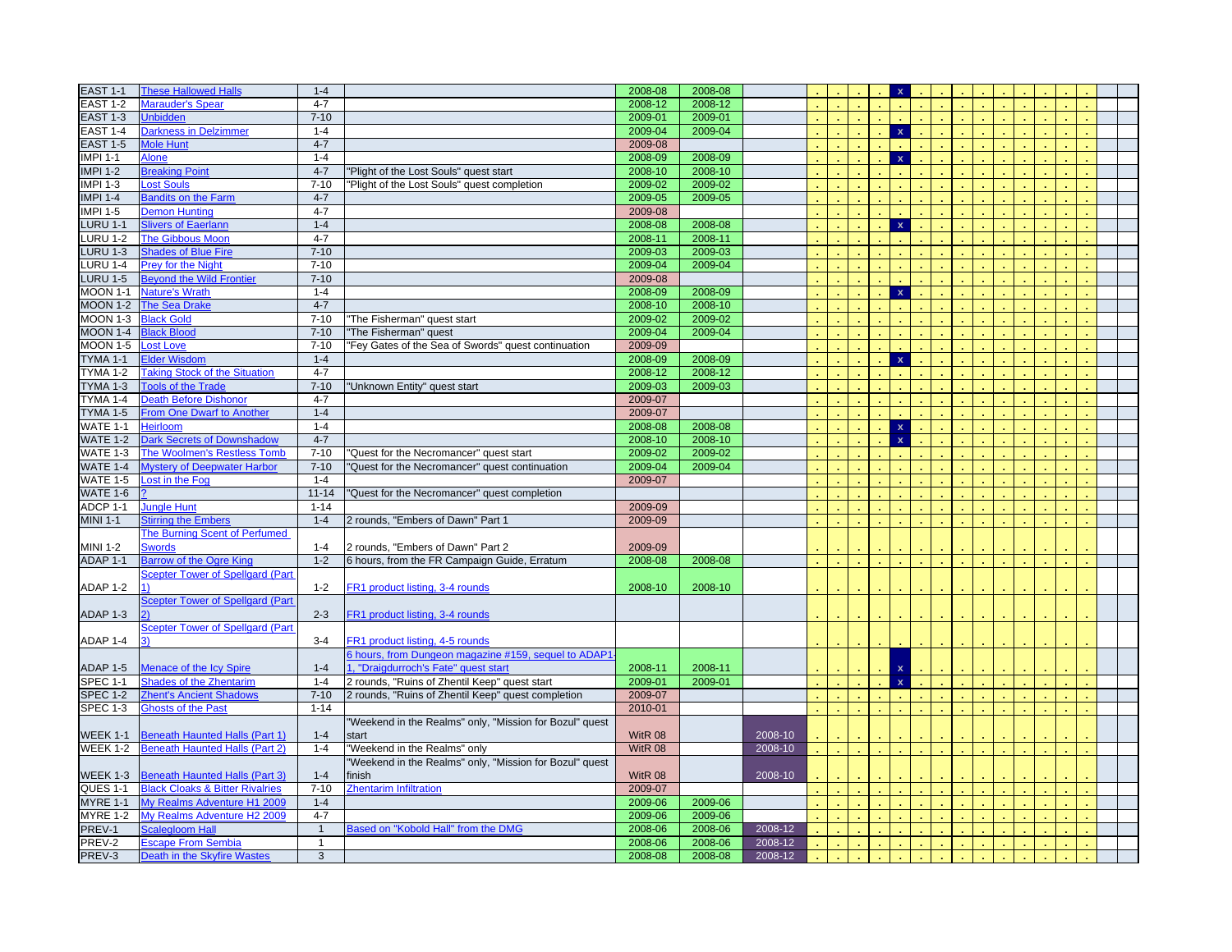| <b>EAST 1-1</b>     | <b>These Hallowed Halls</b>                              | $1 - 4$           |                                                         | 2008-08            | 2008-08            |                    |  |  |                         |  |  |  |  |  |
|---------------------|----------------------------------------------------------|-------------------|---------------------------------------------------------|--------------------|--------------------|--------------------|--|--|-------------------------|--|--|--|--|--|
| <b>EAST 1-2</b>     | Marauder's Spear                                         | $4 - 7$           |                                                         | 2008-12            | 2008-12            |                    |  |  |                         |  |  |  |  |  |
| <b>EAST 1-3</b>     | <b>Unbidden</b>                                          | $7 - 10$          |                                                         | 2009-01            | 2009-01            |                    |  |  |                         |  |  |  |  |  |
| <b>EAST 1-4</b>     | <b>Darkness in Delzimmer</b>                             | $1 - 4$           |                                                         | 2009-04            | 2009-04            |                    |  |  | $\mathbf{x}$            |  |  |  |  |  |
| <b>EAST 1-5</b>     | <b>Mole Hunt</b>                                         | $4 - 7$           |                                                         | 2009-08            |                    |                    |  |  |                         |  |  |  |  |  |
| <b>IMPI 1-1</b>     | Alone                                                    | $1 - 4$           |                                                         | 2008-09            | 2008-09            |                    |  |  | $\mathbf{x}$            |  |  |  |  |  |
| <b>IMPI 1-2</b>     | <b>Breaking Point</b>                                    | $4 - 7$           | "Plight of the Lost Souls" quest start                  | 2008-10            | 2008-10            |                    |  |  |                         |  |  |  |  |  |
| <b>IMPI 1-3</b>     | <b>Lost Souls</b>                                        | $7 - 10$          | "Plight of the Lost Souls" quest completion             | 2009-02            | 2009-02            |                    |  |  |                         |  |  |  |  |  |
| <b>IMPI 1-4</b>     | <b>Bandits on the Farm</b>                               | $4 - 7$           |                                                         | 2009-05            | 2009-05            |                    |  |  |                         |  |  |  |  |  |
| <b>IMPI 1-5</b>     | <b>Demon Hunting</b>                                     | $4 - 7$           |                                                         | 2009-08            |                    |                    |  |  |                         |  |  |  |  |  |
| <b>LURU 1-1</b>     | <b>Slivers of Eaerlann</b>                               | $1 - 4$           |                                                         | 2008-08            | 2008-08            |                    |  |  | $\mathbf{x}$            |  |  |  |  |  |
| <b>LURU 1-2</b>     | <b>The Gibbous Moon</b>                                  | $4 - 7$           |                                                         | 2008-11            | 2008-11            |                    |  |  |                         |  |  |  |  |  |
| <b>LURU 1-3</b>     | <b>Shades of Blue Fire</b>                               | $7 - 10$          |                                                         | 2009-03            | 2009-03            |                    |  |  |                         |  |  |  |  |  |
| <b>LURU 1-4</b>     | Prey for the Night                                       | $7 - 10$          |                                                         | 2009-04            | 2009-04            |                    |  |  |                         |  |  |  |  |  |
| <b>LURU 1-5</b>     | <b>Beyond the Wild Frontier</b>                          | $7 - 10$          |                                                         | 2009-08            |                    |                    |  |  |                         |  |  |  |  |  |
| <b>MOON 1-1</b>     | <b>Nature's Wrath</b>                                    | $1 - 4$           |                                                         | 2008-09            | 2008-09            |                    |  |  | $\mathbf{x}$            |  |  |  |  |  |
| <b>MOON 1-2</b>     | The Sea Drake                                            | $4 - 7$           |                                                         | 2008-10            | 2008-10            |                    |  |  |                         |  |  |  |  |  |
| MOON 1-3            | <b>Black Gold</b>                                        | $7 - 10$          | The Fisherman" quest start                              | 2009-02            | 2009-02            |                    |  |  |                         |  |  |  |  |  |
| <b>MOON 1-4</b>     | <b>Black Blood</b>                                       | $7 - 10$          | "The Fisherman" quest                                   | 2009-04            | 2009-04            |                    |  |  |                         |  |  |  |  |  |
| MOON 1-5            | <b>Lost Love</b>                                         | $7 - 10$          |                                                         | 2009-09            |                    |                    |  |  |                         |  |  |  |  |  |
|                     |                                                          | $1 - 4$           | "Fey Gates of the Sea of Swords" quest continuation     |                    |                    |                    |  |  |                         |  |  |  |  |  |
| <b>TYMA 1-1</b>     | Elder Wisdom                                             | $4 - 7$           |                                                         | 2008-09            | 2008-09<br>2008-12 |                    |  |  | $\mathbf{x}$            |  |  |  |  |  |
| TYMA 1-2            | <b>Taking Stock of the Situation</b>                     |                   |                                                         | 2008-12            |                    |                    |  |  |                         |  |  |  |  |  |
| TYMA 1-3            | <b>Tools of the Trade</b>                                | $7 - 10$          | 'Unknown Entity" quest start                            | 2009-03            | 2009-03            |                    |  |  |                         |  |  |  |  |  |
| TYMA 1-4            | <b>Death Before Dishonor</b>                             | $4 - 7$           |                                                         | 2009-07            |                    |                    |  |  |                         |  |  |  |  |  |
| <b>TYMA 1-5</b>     | <b>From One Dwarf to Another</b>                         | $1 - 4$           |                                                         | 2009-07            |                    |                    |  |  |                         |  |  |  |  |  |
| <b>WATE 1-1</b>     | Heirloom                                                 | $1 - 4$           |                                                         | 2008-08            | 2008-08            |                    |  |  | $\mathbf{x}$            |  |  |  |  |  |
| <b>WATE 1-2</b>     | <b>Dark Secrets of Downshadow</b>                        | $4 - 7$           |                                                         | 2008-10            | 2008-10            |                    |  |  | $\mathbf{x}$            |  |  |  |  |  |
| <b>WATE 1-3</b>     | The Woolmen's Restless Tomb                              | $7 - 10$          | Quest for the Necromancer" quest start                  | 2009-02            | 2009-02            |                    |  |  |                         |  |  |  |  |  |
| <b>WATE 1-4</b>     | <b>Mystery of Deepwater Harbor</b>                       | $7 - 10$          | Quest for the Necromancer" quest continuation           | 2009-04            | 2009-04            |                    |  |  |                         |  |  |  |  |  |
|                     |                                                          |                   |                                                         |                    |                    |                    |  |  |                         |  |  |  |  |  |
| <b>WATE 1-5</b>     | Lost in the Fog                                          | $1 - 4$           |                                                         | 2009-07            |                    |                    |  |  |                         |  |  |  |  |  |
| <b>WATE 1-6</b>     |                                                          | $11 - 14$         | Quest for the Necromancer" quest completion             |                    |                    |                    |  |  |                         |  |  |  |  |  |
| ADCP 1-1            | <b>Jungle Hunt</b>                                       | $1 - 14$          |                                                         | 2009-09            |                    |                    |  |  |                         |  |  |  |  |  |
| <b>MINI 1-1</b>     | <b>Stirring the Embers</b>                               | $1 - 4$           | 2 rounds, "Embers of Dawn" Part 1                       | 2009-09            |                    |                    |  |  |                         |  |  |  |  |  |
|                     | The Burning Scent of Perfumed                            |                   |                                                         |                    |                    |                    |  |  |                         |  |  |  |  |  |
| <b>MINI 1-2</b>     | <b>Swords</b>                                            | $1 - 4$           | 2 rounds, "Embers of Dawn" Part 2                       | 2009-09            |                    |                    |  |  |                         |  |  |  |  |  |
| ADAP <sub>1-1</sub> | <b>Barrow of the Ogre King</b>                           | $1 - 2$           | 6 hours, from the FR Campaign Guide, Erratum            | 2008-08            | 2008-08            |                    |  |  |                         |  |  |  |  |  |
|                     | <b>Scepter Tower of Spellgard (Part</b>                  |                   |                                                         |                    |                    |                    |  |  |                         |  |  |  |  |  |
| ADAP 1-2            |                                                          | $1 - 2$           | FR1 product listing, 3-4 rounds                         | 2008-10            | 2008-10            |                    |  |  |                         |  |  |  |  |  |
|                     | <b>Scepter Tower of Spellgard (Part</b>                  |                   |                                                         |                    |                    |                    |  |  |                         |  |  |  |  |  |
| ADAP 1-3            |                                                          | $2 - 3$           | FR1 product listing, 3-4 rounds                         |                    |                    |                    |  |  |                         |  |  |  |  |  |
|                     | <b>Scepter Tower of Spellgard (Part</b>                  |                   |                                                         |                    |                    |                    |  |  |                         |  |  |  |  |  |
| ADAP 1-4            |                                                          | $3 - 4$           | FR1 product listing, 4-5 rounds                         |                    |                    |                    |  |  |                         |  |  |  |  |  |
|                     |                                                          |                   | hours, from Dungeon magazine #159, sequel to ADAP1      |                    |                    |                    |  |  |                         |  |  |  |  |  |
| ADAP 1-5            | <b>Menace of the Icy Spire</b>                           | $1 - 4$           | , "Draigdurroch's Fate" quest start                     | 2008-11            | 2008-11            |                    |  |  | $\mathbf x$             |  |  |  |  |  |
|                     |                                                          | $1 - 4$           |                                                         |                    |                    |                    |  |  | $\overline{\mathbf{x}}$ |  |  |  |  |  |
| <b>SPEC 1-1</b>     | <b>Shades of the Zhentarim</b>                           |                   | 2 rounds, "Ruins of Zhentil Keep" quest start           | 2009-01            | 2009-01            |                    |  |  |                         |  |  |  |  |  |
| <b>SPEC 1-2</b>     | <b>Zhent's Ancient Shadows</b>                           | $7 - 10$          | 2 rounds, "Ruins of Zhentil Keep" quest completion      | 2009-07            |                    |                    |  |  |                         |  |  |  |  |  |
| SPEC 1-3            | <b>Ghosts of the Past</b>                                | $1 - 14$          |                                                         | 2010-01            |                    |                    |  |  |                         |  |  |  |  |  |
|                     |                                                          |                   | "Weekend in the Realms" only, "Mission for Bozul" quest |                    |                    |                    |  |  |                         |  |  |  |  |  |
| <b>WEEK 1-1</b>     | Beneath Haunted Halls (Part 1)                           | $1 - 4$           | start                                                   | WitR 08            |                    | 2008-10            |  |  |                         |  |  |  |  |  |
| <b>WEEK 1-2</b>     | Beneath Haunted Halls (Part 2)                           | $1 - 4$           | "Weekend in the Realms" only                            | WitR 08            |                    | 2008-10            |  |  |                         |  |  |  |  |  |
|                     |                                                          |                   | "Weekend in the Realms" only, "Mission for Bozul" quest |                    |                    |                    |  |  |                         |  |  |  |  |  |
| <b>WEEK 1-3</b>     | <b>Beneath Haunted Halls (Part 3)</b>                    | $1 - 4$           | finish                                                  | WitR 08            |                    | 2008-10            |  |  |                         |  |  |  |  |  |
| QUES 1-1            | <b>Black Cloaks &amp; Bitter Rivalries</b>               | $7 - 10$          | <b>Zhentarim Infiltration</b>                           | 2009-07            |                    |                    |  |  |                         |  |  |  |  |  |
| <b>MYRE 1-1</b>     | My Realms Adventure H1 2009                              | $1 - 4$           |                                                         | 2009-06            | 2009-06            |                    |  |  |                         |  |  |  |  |  |
| <b>MYRE 1-2</b>     | My Realms Adventure H2 2009                              | $4 - 7$           |                                                         | 2009-06            | 2009-06            |                    |  |  |                         |  |  |  |  |  |
| PREV-1              | <b>Scalegloom Hall</b>                                   | $\mathbf{1}$      | Based on "Kobold Hall" from the DMG                     | 2008-06            | 2008-06            | 2008-12            |  |  |                         |  |  |  |  |  |
| PREV-2<br>PREV-3    | <b>Escape From Sembia</b><br>Death in the Skyfire Wastes | $\mathbf{1}$<br>3 |                                                         | 2008-06<br>2008-08 | 2008-06<br>2008-08 | 2008-12<br>2008-12 |  |  |                         |  |  |  |  |  |